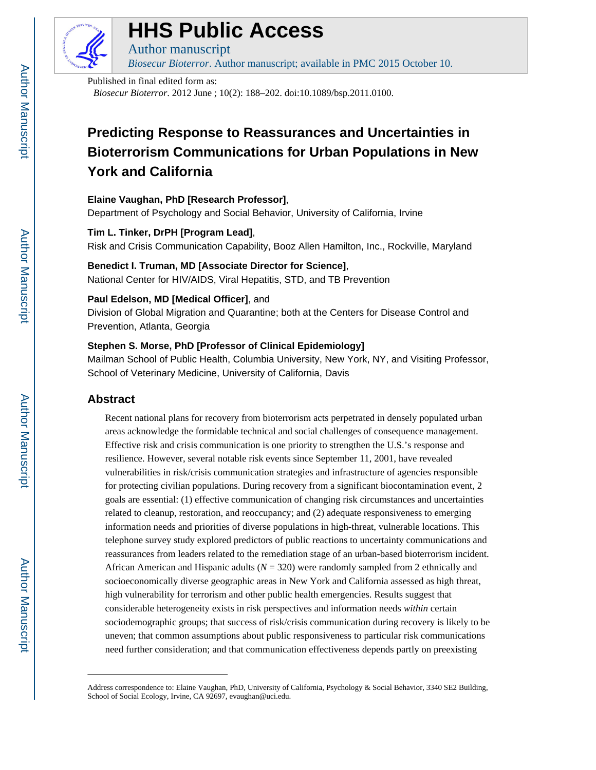

# **HHS Public Access**

*Biosecur Bioterror*. Author manuscript; available in PMC 2015 October 10.

Published in final edited form as:

Author manuscript

*Biosecur Bioterror*. 2012 June ; 10(2): 188–202. doi:10.1089/bsp.2011.0100.

## **Predicting Response to Reassurances and Uncertainties in Bioterrorism Communications for Urban Populations in New York and California**

## **Elaine Vaughan, PhD [Research Professor]**,

Department of Psychology and Social Behavior, University of California, Irvine

## **Tim L. Tinker, DrPH [Program Lead]**,

Risk and Crisis Communication Capability, Booz Allen Hamilton, Inc., Rockville, Maryland

## **Benedict I. Truman, MD [Associate Director for Science]**, National Center for HIV/AIDS, Viral Hepatitis, STD, and TB Prevention

## **Paul Edelson, MD [Medical Officer]**, and

Division of Global Migration and Quarantine; both at the Centers for Disease Control and Prevention, Atlanta, Georgia

## **Stephen S. Morse, PhD [Professor of Clinical Epidemiology]**

Mailman School of Public Health, Columbia University, New York, NY, and Visiting Professor, School of Veterinary Medicine, University of California, Davis

## **Abstract**

Recent national plans for recovery from bioterrorism acts perpetrated in densely populated urban areas acknowledge the formidable technical and social challenges of consequence management. Effective risk and crisis communication is one priority to strengthen the U.S.'s response and resilience. However, several notable risk events since September 11, 2001, have revealed vulnerabilities in risk/crisis communication strategies and infrastructure of agencies responsible for protecting civilian populations. During recovery from a significant biocontamination event, 2 goals are essential: (1) effective communication of changing risk circumstances and uncertainties related to cleanup, restoration, and reoccupancy; and (2) adequate responsiveness to emerging information needs and priorities of diverse populations in high-threat, vulnerable locations. This telephone survey study explored predictors of public reactions to uncertainty communications and reassurances from leaders related to the remediation stage of an urban-based bioterrorism incident. African American and Hispanic adults ( $N = 320$ ) were randomly sampled from 2 ethnically and socioeconomically diverse geographic areas in New York and California assessed as high threat, high vulnerability for terrorism and other public health emergencies. Results suggest that considerable heterogeneity exists in risk perspectives and information needs *within* certain sociodemographic groups; that success of risk/crisis communication during recovery is likely to be uneven; that common assumptions about public responsiveness to particular risk communications need further consideration; and that communication effectiveness depends partly on preexisting

Address correspondence to: Elaine Vaughan, PhD, University of California, Psychology & Social Behavior, 3340 SE2 Building, School of Social Ecology, Irvine, CA 92697, evaughan@uci.edu.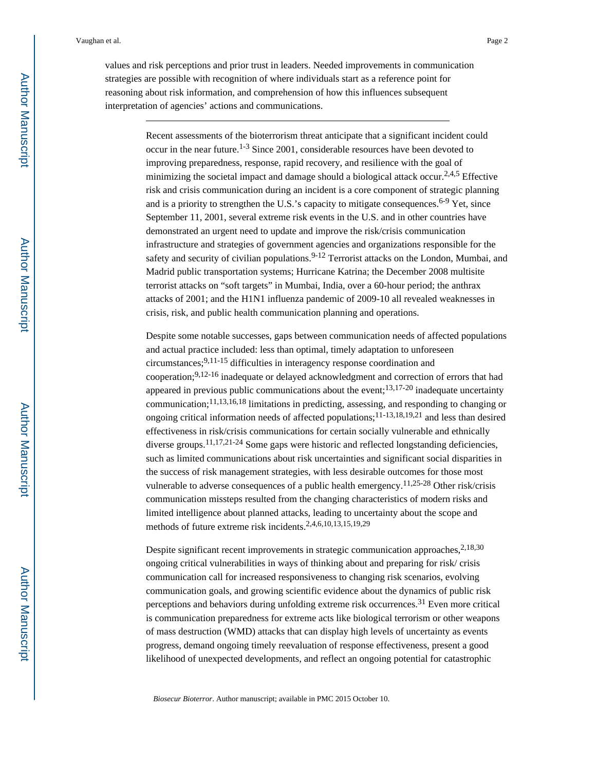values and risk perceptions and prior trust in leaders. Needed improvements in communication strategies are possible with recognition of where individuals start as a reference point for reasoning about risk information, and comprehension of how this influences subsequent interpretation of agencies' actions and communications.

> Recent assessments of the bioterrorism threat anticipate that a significant incident could occur in the near future.<sup>1-3</sup> Since 2001, considerable resources have been devoted to improving preparedness, response, rapid recovery, and resilience with the goal of minimizing the societal impact and damage should a biological attack occur.<sup>2,4,5</sup> Effective risk and crisis communication during an incident is a core component of strategic planning and is a priority to strengthen the U.S.'s capacity to mitigate consequences.<sup>6-9</sup> Yet, since September 11, 2001, several extreme risk events in the U.S. and in other countries have demonstrated an urgent need to update and improve the risk/crisis communication infrastructure and strategies of government agencies and organizations responsible for the safety and security of civilian populations.<sup>9-12</sup> Terrorist attacks on the London, Mumbai, and Madrid public transportation systems; Hurricane Katrina; the December 2008 multisite terrorist attacks on "soft targets" in Mumbai, India, over a 60-hour period; the anthrax attacks of 2001; and the H1N1 influenza pandemic of 2009-10 all revealed weaknesses in crisis, risk, and public health communication planning and operations.

> Despite some notable successes, gaps between communication needs of affected populations and actual practice included: less than optimal, timely adaptation to unforeseen circumstances;9,11-15 difficulties in interagency response coordination and cooperation;9,12-16 inadequate or delayed acknowledgment and correction of errors that had appeared in previous public communications about the event;<sup>13,17-20</sup> inadequate uncertainty communication;11,13,16,18 limitations in predicting, assessing, and responding to changing or ongoing critical information needs of affected populations;11-13,18,19,21 and less than desired effectiveness in risk/crisis communications for certain socially vulnerable and ethnically diverse groups.<sup>11,17,21-24</sup> Some gaps were historic and reflected longstanding deficiencies, such as limited communications about risk uncertainties and significant social disparities in the success of risk management strategies, with less desirable outcomes for those most vulnerable to adverse consequences of a public health emergency.<sup>11,25-28</sup> Other risk/crisis communication missteps resulted from the changing characteristics of modern risks and limited intelligence about planned attacks, leading to uncertainty about the scope and methods of future extreme risk incidents.2,4,6,10,13,15,19,29

Despite significant recent improvements in strategic communication approaches, $2,18,30$ ongoing critical vulnerabilities in ways of thinking about and preparing for risk/ crisis communication call for increased responsiveness to changing risk scenarios, evolving communication goals, and growing scientific evidence about the dynamics of public risk perceptions and behaviors during unfolding extreme risk occurrences.31 Even more critical is communication preparedness for extreme acts like biological terrorism or other weapons of mass destruction (WMD) attacks that can display high levels of uncertainty as events progress, demand ongoing timely reevaluation of response effectiveness, present a good likelihood of unexpected developments, and reflect an ongoing potential for catastrophic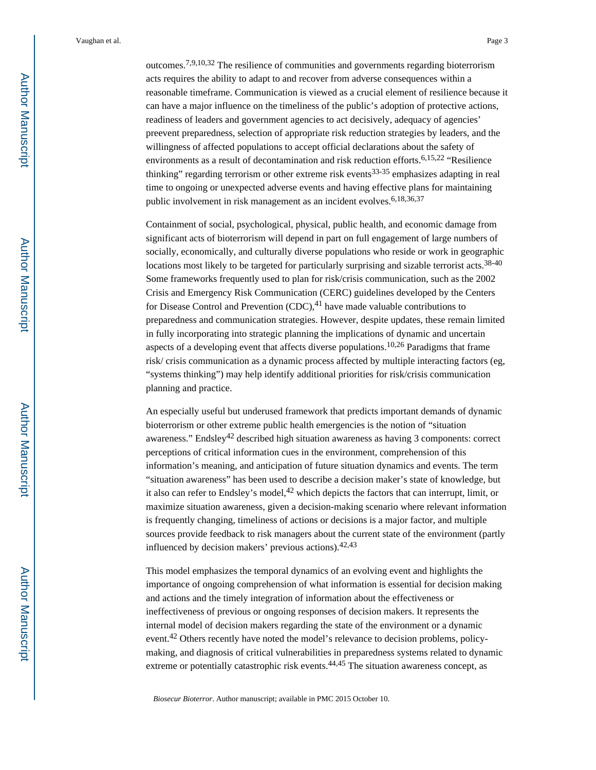outcomes.7,9,10,32 The resilience of communities and governments regarding bioterrorism acts requires the ability to adapt to and recover from adverse consequences within a reasonable timeframe. Communication is viewed as a crucial element of resilience because it can have a major influence on the timeliness of the public's adoption of protective actions, readiness of leaders and government agencies to act decisively, adequacy of agencies' preevent preparedness, selection of appropriate risk reduction strategies by leaders, and the willingness of affected populations to accept official declarations about the safety of environments as a result of decontamination and risk reduction efforts.<sup>6,15,22</sup> "Resilience thinking" regarding terrorism or other extreme risk events<sup>33-35</sup> emphasizes adapting in real time to ongoing or unexpected adverse events and having effective plans for maintaining public involvement in risk management as an incident evolves.<sup>6,18,36,37</sup>

Containment of social, psychological, physical, public health, and economic damage from significant acts of bioterrorism will depend in part on full engagement of large numbers of socially, economically, and culturally diverse populations who reside or work in geographic locations most likely to be targeted for particularly surprising and sizable terrorist acts.<sup>38-40</sup> Some frameworks frequently used to plan for risk/crisis communication, such as the 2002 Crisis and Emergency Risk Communication (CERC) guidelines developed by the Centers for Disease Control and Prevention  $(CDC)$ , <sup>41</sup> have made valuable contributions to preparedness and communication strategies. However, despite updates, these remain limited in fully incorporating into strategic planning the implications of dynamic and uncertain aspects of a developing event that affects diverse populations.<sup>10,26</sup> Paradigms that frame risk/ crisis communication as a dynamic process affected by multiple interacting factors (eg, "systems thinking") may help identify additional priorities for risk/crisis communication planning and practice.

An especially useful but underused framework that predicts important demands of dynamic bioterrorism or other extreme public health emergencies is the notion of "situation awareness." Endsley<sup>42</sup> described high situation awareness as having 3 components: correct perceptions of critical information cues in the environment, comprehension of this information's meaning, and anticipation of future situation dynamics and events. The term "situation awareness" has been used to describe a decision maker's state of knowledge, but it also can refer to Endsley's model, $42$  which depicts the factors that can interrupt, limit, or maximize situation awareness, given a decision-making scenario where relevant information is frequently changing, timeliness of actions or decisions is a major factor, and multiple sources provide feedback to risk managers about the current state of the environment (partly influenced by decision makers' previous actions).42,43

This model emphasizes the temporal dynamics of an evolving event and highlights the importance of ongoing comprehension of what information is essential for decision making and actions and the timely integration of information about the effectiveness or ineffectiveness of previous or ongoing responses of decision makers. It represents the internal model of decision makers regarding the state of the environment or a dynamic event.<sup>42</sup> Others recently have noted the model's relevance to decision problems, policymaking, and diagnosis of critical vulnerabilities in preparedness systems related to dynamic extreme or potentially catastrophic risk events.<sup>44,45</sup> The situation awareness concept, as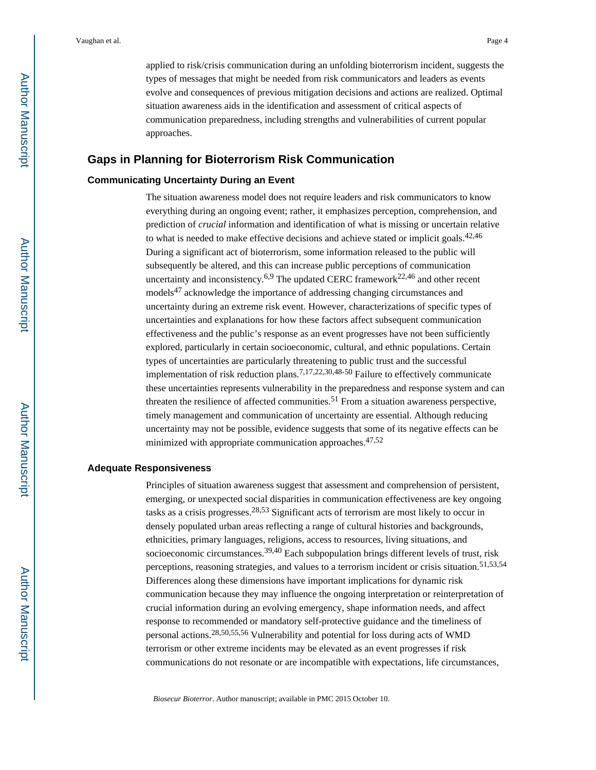applied to risk/crisis communication during an unfolding bioterrorism incident, suggests the types of messages that might be needed from risk communicators and leaders as events evolve and consequences of previous mitigation decisions and actions are realized. Optimal situation awareness aids in the identification and assessment of critical aspects of communication preparedness, including strengths and vulnerabilities of current popular approaches.

## **Gaps in Planning for Bioterrorism Risk Communication**

#### **Communicating Uncertainty During an Event**

The situation awareness model does not require leaders and risk communicators to know everything during an ongoing event; rather, it emphasizes perception, comprehension, and prediction of *crucial* information and identification of what is missing or uncertain relative to what is needed to make effective decisions and achieve stated or implicit goals. $42,46$ During a significant act of bioterrorism, some information released to the public will subsequently be altered, and this can increase public perceptions of communication uncertainty and inconsistency.<sup>6,9</sup> The updated CERC framework<sup>22,46</sup> and other recent models<sup>47</sup> acknowledge the importance of addressing changing circumstances and uncertainty during an extreme risk event. However, characterizations of specific types of uncertainties and explanations for how these factors affect subsequent communication effectiveness and the public's response as an event progresses have not been sufficiently explored, particularly in certain socioeconomic, cultural, and ethnic populations. Certain types of uncertainties are particularly threatening to public trust and the successful implementation of risk reduction plans.<sup>7,17,22,30,48-50</sup> Failure to effectively communicate these uncertainties represents vulnerability in the preparedness and response system and can threaten the resilience of affected communities.<sup>51</sup> From a situation awareness perspective, timely management and communication of uncertainty are essential. Although reducing uncertainty may not be possible, evidence suggests that some of its negative effects can be minimized with appropriate communication approaches.  $47,52$ 

#### **Adequate Responsiveness**

Principles of situation awareness suggest that assessment and comprehension of persistent, emerging, or unexpected social disparities in communication effectiveness are key ongoing tasks as a crisis progresses.28,53 Significant acts of terrorism are most likely to occur in densely populated urban areas reflecting a range of cultural histories and backgrounds, ethnicities, primary languages, religions, access to resources, living situations, and socioeconomic circumstances.39,40 Each subpopulation brings different levels of trust, risk perceptions, reasoning strategies, and values to a terrorism incident or crisis situation.<sup>51,53,54</sup> Differences along these dimensions have important implications for dynamic risk communication because they may influence the ongoing interpretation or reinterpretation of crucial information during an evolving emergency, shape information needs, and affect response to recommended or mandatory self-protective guidance and the timeliness of personal actions.28,50,55,56 Vulnerability and potential for loss during acts of WMD terrorism or other extreme incidents may be elevated as an event progresses if risk communications do not resonate or are incompatible with expectations, life circumstances,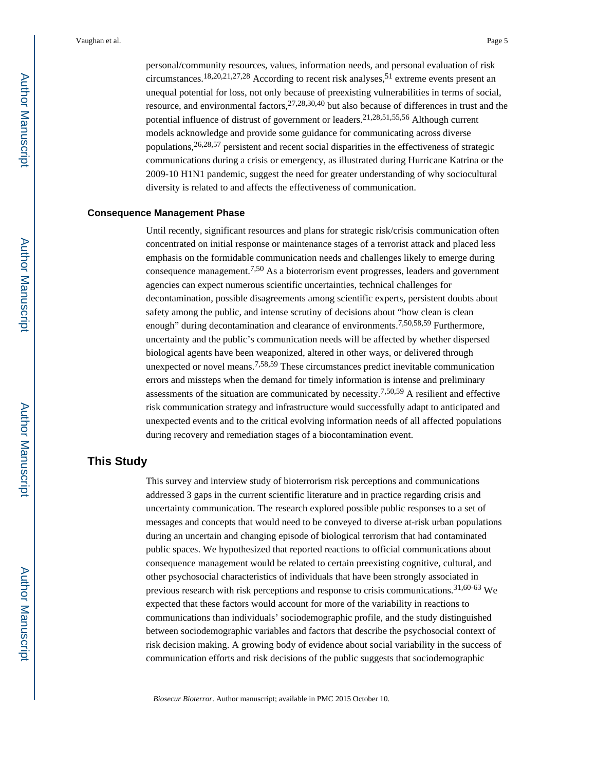personal/community resources, values, information needs, and personal evaluation of risk circumstances.<sup>18,20,21,27,28</sup> According to recent risk analyses,<sup>51</sup> extreme events present an unequal potential for loss, not only because of preexisting vulnerabilities in terms of social, resource, and environmental factors,  $27,28,30,40$  but also because of differences in trust and the potential influence of distrust of government or leaders.21,28,51,55,56 Although current models acknowledge and provide some guidance for communicating across diverse populations,26,28,57 persistent and recent social disparities in the effectiveness of strategic communications during a crisis or emergency, as illustrated during Hurricane Katrina or the 2009-10 H1N1 pandemic, suggest the need for greater understanding of why sociocultural diversity is related to and affects the effectiveness of communication.

#### **Consequence Management Phase**

Until recently, significant resources and plans for strategic risk/crisis communication often concentrated on initial response or maintenance stages of a terrorist attack and placed less emphasis on the formidable communication needs and challenges likely to emerge during consequence management.<sup>7,50</sup> As a bioterrorism event progresses, leaders and government agencies can expect numerous scientific uncertainties, technical challenges for decontamination, possible disagreements among scientific experts, persistent doubts about safety among the public, and intense scrutiny of decisions about "how clean is clean enough" during decontamination and clearance of environments.<sup>7,50,58,59</sup> Furthermore, uncertainty and the public's communication needs will be affected by whether dispersed biological agents have been weaponized, altered in other ways, or delivered through unexpected or novel means.7,58,59 These circumstances predict inevitable communication errors and missteps when the demand for timely information is intense and preliminary assessments of the situation are communicated by necessity.<sup>7,50,59</sup> A resilient and effective risk communication strategy and infrastructure would successfully adapt to anticipated and unexpected events and to the critical evolving information needs of all affected populations during recovery and remediation stages of a biocontamination event.

## **This Study**

This survey and interview study of bioterrorism risk perceptions and communications addressed 3 gaps in the current scientific literature and in practice regarding crisis and uncertainty communication. The research explored possible public responses to a set of messages and concepts that would need to be conveyed to diverse at-risk urban populations during an uncertain and changing episode of biological terrorism that had contaminated public spaces. We hypothesized that reported reactions to official communications about consequence management would be related to certain preexisting cognitive, cultural, and other psychosocial characteristics of individuals that have been strongly associated in previous research with risk perceptions and response to crisis communications.31,60-63 We expected that these factors would account for more of the variability in reactions to communications than individuals' sociodemographic profile, and the study distinguished between sociodemographic variables and factors that describe the psychosocial context of risk decision making. A growing body of evidence about social variability in the success of communication efforts and risk decisions of the public suggests that sociodemographic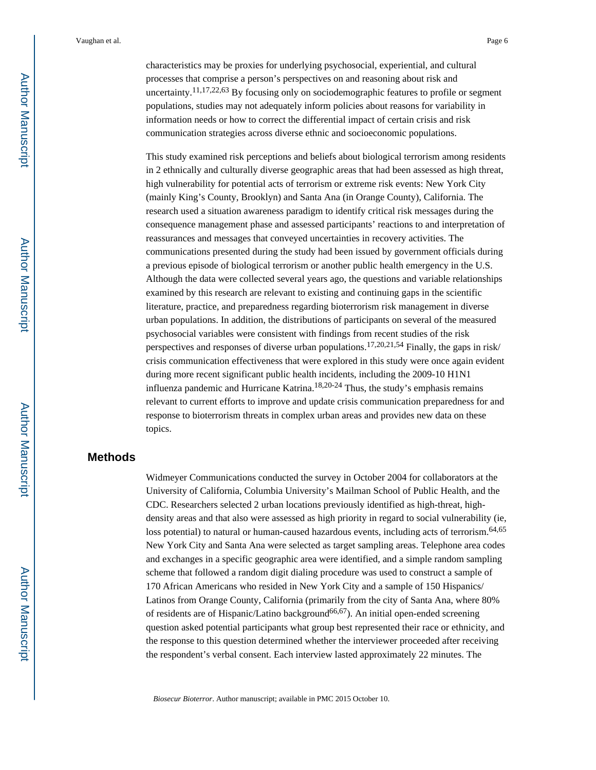characteristics may be proxies for underlying psychosocial, experiential, and cultural processes that comprise a person's perspectives on and reasoning about risk and uncertainty.<sup>11,17,22,63</sup> By focusing only on sociodemographic features to profile or segment populations, studies may not adequately inform policies about reasons for variability in information needs or how to correct the differential impact of certain crisis and risk communication strategies across diverse ethnic and socioeconomic populations.

This study examined risk perceptions and beliefs about biological terrorism among residents in 2 ethnically and culturally diverse geographic areas that had been assessed as high threat, high vulnerability for potential acts of terrorism or extreme risk events: New York City (mainly King's County, Brooklyn) and Santa Ana (in Orange County), California. The research used a situation awareness paradigm to identify critical risk messages during the consequence management phase and assessed participants' reactions to and interpretation of reassurances and messages that conveyed uncertainties in recovery activities. The communications presented during the study had been issued by government officials during a previous episode of biological terrorism or another public health emergency in the U.S. Although the data were collected several years ago, the questions and variable relationships examined by this research are relevant to existing and continuing gaps in the scientific literature, practice, and preparedness regarding bioterrorism risk management in diverse urban populations. In addition, the distributions of participants on several of the measured psychosocial variables were consistent with findings from recent studies of the risk perspectives and responses of diverse urban populations.<sup>17,20,21,54</sup> Finally, the gaps in risk/ crisis communication effectiveness that were explored in this study were once again evident during more recent significant public health incidents, including the 2009-10 H1N1 influenza pandemic and Hurricane Katrina.<sup>18,20-24</sup> Thus, the study's emphasis remains relevant to current efforts to improve and update crisis communication preparedness for and response to bioterrorism threats in complex urban areas and provides new data on these topics.

#### **Methods**

Widmeyer Communications conducted the survey in October 2004 for collaborators at the University of California, Columbia University's Mailman School of Public Health, and the CDC. Researchers selected 2 urban locations previously identified as high-threat, highdensity areas and that also were assessed as high priority in regard to social vulnerability (ie, loss potential) to natural or human-caused hazardous events, including acts of terrorism.<sup>64,65</sup> New York City and Santa Ana were selected as target sampling areas. Telephone area codes and exchanges in a specific geographic area were identified, and a simple random sampling scheme that followed a random digit dialing procedure was used to construct a sample of 170 African Americans who resided in New York City and a sample of 150 Hispanics/ Latinos from Orange County, California (primarily from the city of Santa Ana, where 80% of residents are of Hispanic/Latino background<sup>66,67</sup>). An initial open-ended screening question asked potential participants what group best represented their race or ethnicity, and the response to this question determined whether the interviewer proceeded after receiving the respondent's verbal consent. Each interview lasted approximately 22 minutes. The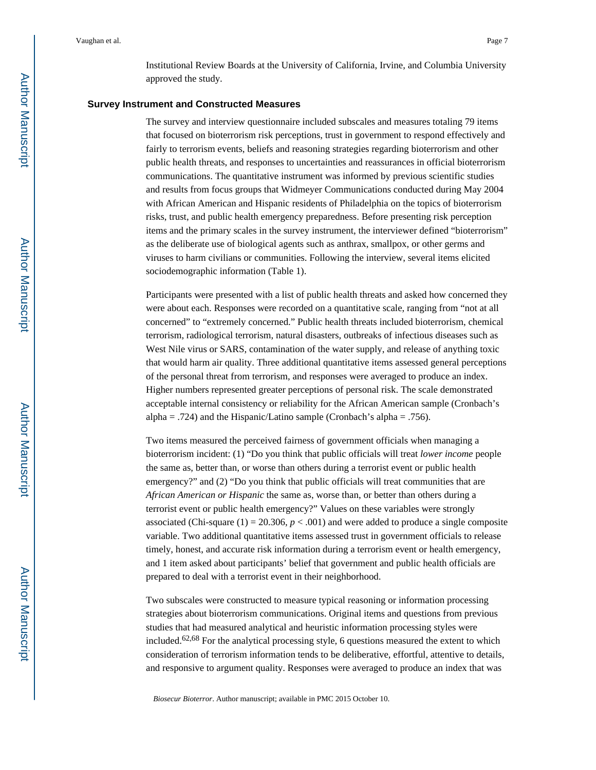Institutional Review Boards at the University of California, Irvine, and Columbia University approved the study.

#### **Survey Instrument and Constructed Measures**

The survey and interview questionnaire included subscales and measures totaling 79 items that focused on bioterrorism risk perceptions, trust in government to respond effectively and fairly to terrorism events, beliefs and reasoning strategies regarding bioterrorism and other public health threats, and responses to uncertainties and reassurances in official bioterrorism communications. The quantitative instrument was informed by previous scientific studies and results from focus groups that Widmeyer Communications conducted during May 2004 with African American and Hispanic residents of Philadelphia on the topics of bioterrorism risks, trust, and public health emergency preparedness. Before presenting risk perception items and the primary scales in the survey instrument, the interviewer defined "bioterrorism" as the deliberate use of biological agents such as anthrax, smallpox, or other germs and viruses to harm civilians or communities. Following the interview, several items elicited sociodemographic information (Table 1).

Participants were presented with a list of public health threats and asked how concerned they were about each. Responses were recorded on a quantitative scale, ranging from "not at all concerned" to "extremely concerned." Public health threats included bioterrorism, chemical terrorism, radiological terrorism, natural disasters, outbreaks of infectious diseases such as West Nile virus or SARS, contamination of the water supply, and release of anything toxic that would harm air quality. Three additional quantitative items assessed general perceptions of the personal threat from terrorism, and responses were averaged to produce an index. Higher numbers represented greater perceptions of personal risk. The scale demonstrated acceptable internal consistency or reliability for the African American sample (Cronbach's alpha = .724) and the Hispanic/Latino sample (Cronbach's alpha = .756).

Two items measured the perceived fairness of government officials when managing a bioterrorism incident: (1) "Do you think that public officials will treat *lower income* people the same as, better than, or worse than others during a terrorist event or public health emergency?" and (2) "Do you think that public officials will treat communities that are *African American or Hispanic* the same as, worse than, or better than others during a terrorist event or public health emergency?" Values on these variables were strongly associated (Chi-square  $(1) = 20.306$ ,  $p < .001$ ) and were added to produce a single composite variable. Two additional quantitative items assessed trust in government officials to release timely, honest, and accurate risk information during a terrorism event or health emergency, and 1 item asked about participants' belief that government and public health officials are prepared to deal with a terrorist event in their neighborhood.

Two subscales were constructed to measure typical reasoning or information processing strategies about bioterrorism communications. Original items and questions from previous studies that had measured analytical and heuristic information processing styles were included.<sup>62,68</sup> For the analytical processing style, 6 questions measured the extent to which consideration of terrorism information tends to be deliberative, effortful, attentive to details, and responsive to argument quality. Responses were averaged to produce an index that was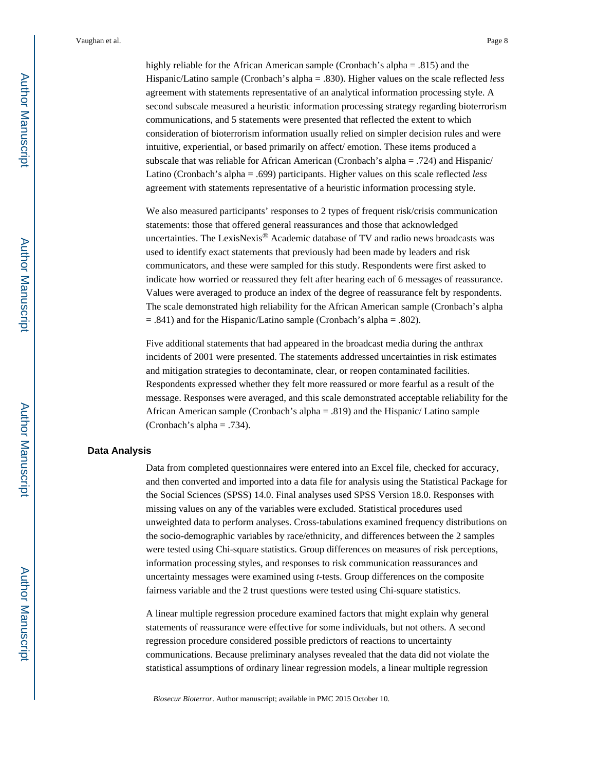highly reliable for the African American sample (Cronbach's alpha = .815) and the Hispanic/Latino sample (Cronbach's alpha = .830). Higher values on the scale reflected *less*  agreement with statements representative of an analytical information processing style. A second subscale measured a heuristic information processing strategy regarding bioterrorism communications, and 5 statements were presented that reflected the extent to which consideration of bioterrorism information usually relied on simpler decision rules and were intuitive, experiential, or based primarily on affect/ emotion. These items produced a subscale that was reliable for African American (Cronbach's alpha = .724) and Hispanic/ Latino (Cronbach's alpha = .699) participants. Higher values on this scale reflected *less*  agreement with statements representative of a heuristic information processing style.

We also measured participants' responses to 2 types of frequent risk/crisis communication statements: those that offered general reassurances and those that acknowledged uncertainties. The LexisNexis® Academic database of TV and radio news broadcasts was used to identify exact statements that previously had been made by leaders and risk communicators, and these were sampled for this study. Respondents were first asked to indicate how worried or reassured they felt after hearing each of 6 messages of reassurance. Values were averaged to produce an index of the degree of reassurance felt by respondents. The scale demonstrated high reliability for the African American sample (Cronbach's alpha = .841) and for the Hispanic/Latino sample (Cronbach's alpha = .802).

Five additional statements that had appeared in the broadcast media during the anthrax incidents of 2001 were presented. The statements addressed uncertainties in risk estimates and mitigation strategies to decontaminate, clear, or reopen contaminated facilities. Respondents expressed whether they felt more reassured or more fearful as a result of the message. Responses were averaged, and this scale demonstrated acceptable reliability for the African American sample (Cronbach's alpha = .819) and the Hispanic/ Latino sample (Cronbach's alpha = .734).

#### **Data Analysis**

Data from completed questionnaires were entered into an Excel file, checked for accuracy, and then converted and imported into a data file for analysis using the Statistical Package for the Social Sciences (SPSS) 14.0. Final analyses used SPSS Version 18.0. Responses with missing values on any of the variables were excluded. Statistical procedures used unweighted data to perform analyses. Cross-tabulations examined frequency distributions on the socio-demographic variables by race/ethnicity, and differences between the 2 samples were tested using Chi-square statistics. Group differences on measures of risk perceptions, information processing styles, and responses to risk communication reassurances and uncertainty messages were examined using *t*-tests. Group differences on the composite fairness variable and the 2 trust questions were tested using Chi-square statistics.

A linear multiple regression procedure examined factors that might explain why general statements of reassurance were effective for some individuals, but not others. A second regression procedure considered possible predictors of reactions to uncertainty communications. Because preliminary analyses revealed that the data did not violate the statistical assumptions of ordinary linear regression models, a linear multiple regression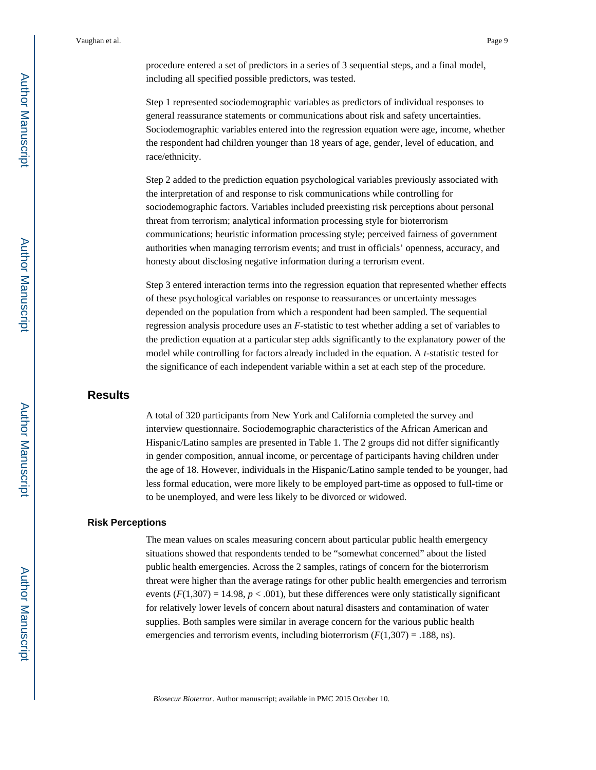procedure entered a set of predictors in a series of 3 sequential steps, and a final model, including all specified possible predictors, was tested.

Step 1 represented sociodemographic variables as predictors of individual responses to general reassurance statements or communications about risk and safety uncertainties. Sociodemographic variables entered into the regression equation were age, income, whether the respondent had children younger than 18 years of age, gender, level of education, and race/ethnicity.

Step 2 added to the prediction equation psychological variables previously associated with the interpretation of and response to risk communications while controlling for sociodemographic factors. Variables included preexisting risk perceptions about personal threat from terrorism; analytical information processing style for bioterrorism communications; heuristic information processing style; perceived fairness of government authorities when managing terrorism events; and trust in officials' openness, accuracy, and honesty about disclosing negative information during a terrorism event.

Step 3 entered interaction terms into the regression equation that represented whether effects of these psychological variables on response to reassurances or uncertainty messages depended on the population from which a respondent had been sampled. The sequential regression analysis procedure uses an *F*-statistic to test whether adding a set of variables to the prediction equation at a particular step adds significantly to the explanatory power of the model while controlling for factors already included in the equation. A *t*-statistic tested for the significance of each independent variable within a set at each step of the procedure.

## **Results**

A total of 320 participants from New York and California completed the survey and interview questionnaire. Sociodemographic characteristics of the African American and Hispanic/Latino samples are presented in Table 1. The 2 groups did not differ significantly in gender composition, annual income, or percentage of participants having children under the age of 18. However, individuals in the Hispanic/Latino sample tended to be younger, had less formal education, were more likely to be employed part-time as opposed to full-time or to be unemployed, and were less likely to be divorced or widowed.

#### **Risk Perceptions**

The mean values on scales measuring concern about particular public health emergency situations showed that respondents tended to be "somewhat concerned" about the listed public health emergencies. Across the 2 samples, ratings of concern for the bioterrorism threat were higher than the average ratings for other public health emergencies and terrorism events  $(F(1,307) = 14.98, p < .001)$ , but these differences were only statistically significant for relatively lower levels of concern about natural disasters and contamination of water supplies. Both samples were similar in average concern for the various public health emergencies and terrorism events, including bioterrorism  $(F(1,307) = .188, \text{ns})$ .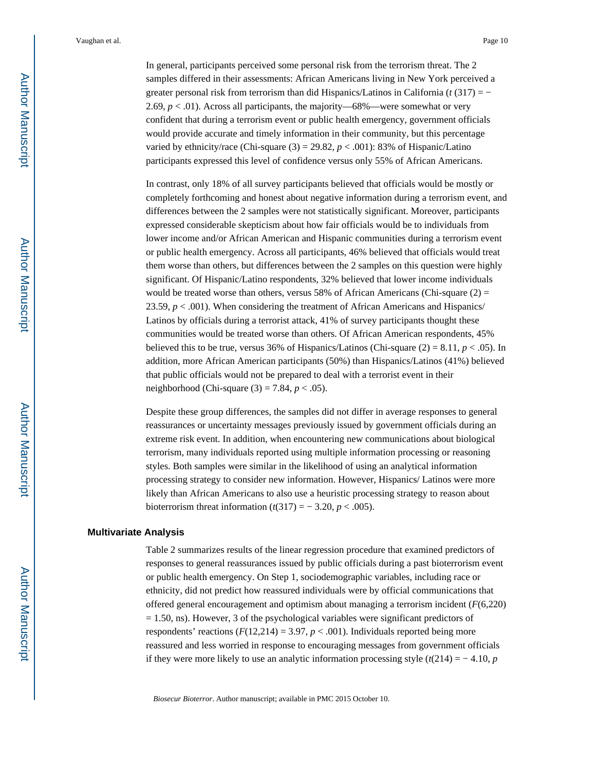In general, participants perceived some personal risk from the terrorism threat. The 2 samples differed in their assessments: African Americans living in New York perceived a greater personal risk from terrorism than did Hispanics/Latinos in California ( $t(317) = -$ 2.69,  $p < .01$ ). Across all participants, the majority—68%—were somewhat or very confident that during a terrorism event or public health emergency, government officials would provide accurate and timely information in their community, but this percentage varied by ethnicity/race (Chi-square  $(3) = 29.82$ ,  $p < .001$ ): 83% of Hispanic/Latino participants expressed this level of confidence versus only 55% of African Americans.

In contrast, only 18% of all survey participants believed that officials would be mostly or completely forthcoming and honest about negative information during a terrorism event, and differences between the 2 samples were not statistically significant. Moreover, participants expressed considerable skepticism about how fair officials would be to individuals from lower income and/or African American and Hispanic communities during a terrorism event or public health emergency. Across all participants, 46% believed that officials would treat them worse than others, but differences between the 2 samples on this question were highly significant. Of Hispanic/Latino respondents, 32% believed that lower income individuals would be treated worse than others, versus 58% of African Americans (Chi-square  $(2)$  = 23.59,  $p < .001$ ). When considering the treatment of African Americans and Hispanics/ Latinos by officials during a terrorist attack, 41% of survey participants thought these communities would be treated worse than others. Of African American respondents, 45% believed this to be true, versus 36% of Hispanics/Latinos (Chi-square  $(2) = 8.11, p < .05$ ). In addition, more African American participants (50%) than Hispanics/Latinos (41%) believed that public officials would not be prepared to deal with a terrorist event in their neighborhood (Chi-square  $(3) = 7.84$ ,  $p < .05$ ).

Despite these group differences, the samples did not differ in average responses to general reassurances or uncertainty messages previously issued by government officials during an extreme risk event. In addition, when encountering new communications about biological terrorism, many individuals reported using multiple information processing or reasoning styles. Both samples were similar in the likelihood of using an analytical information processing strategy to consider new information. However, Hispanics/ Latinos were more likely than African Americans to also use a heuristic processing strategy to reason about bioterrorism threat information  $(t(317) = -3.20, p < .005)$ .

#### **Multivariate Analysis**

Table 2 summarizes results of the linear regression procedure that examined predictors of responses to general reassurances issued by public officials during a past bioterrorism event or public health emergency. On Step 1, sociodemographic variables, including race or ethnicity, did not predict how reassured individuals were by official communications that offered general encouragement and optimism about managing a terrorism incident (*F*(6,220)  $= 1.50$ , ns). However, 3 of the psychological variables were significant predictors of respondents' reactions  $(F(12,214) = 3.97, p < .001)$ . Individuals reported being more reassured and less worried in response to encouraging messages from government officials if they were more likely to use an analytic information processing style  $(t(214) = -4.10, p$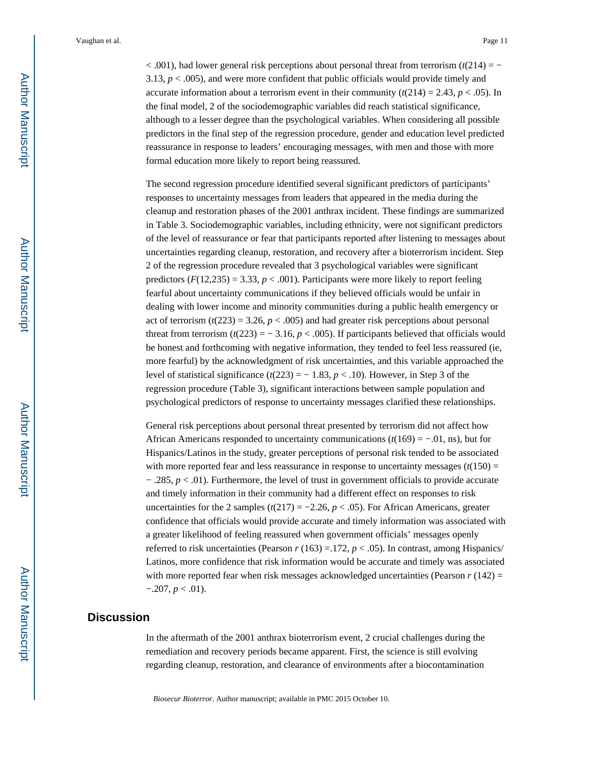$<$ .001), had lower general risk perceptions about personal threat from terrorism ( $t(214) = -t$ 3.13,  $p < .005$ ), and were more confident that public officials would provide timely and accurate information about a terrorism event in their community  $(t(214) = 2.43, p < .05)$ . In the final model, 2 of the sociodemographic variables did reach statistical significance, although to a lesser degree than the psychological variables. When considering all possible predictors in the final step of the regression procedure, gender and education level predicted reassurance in response to leaders' encouraging messages, with men and those with more formal education more likely to report being reassured.

The second regression procedure identified several significant predictors of participants' responses to uncertainty messages from leaders that appeared in the media during the cleanup and restoration phases of the 2001 anthrax incident. These findings are summarized in Table 3. Sociodemographic variables, including ethnicity, were not significant predictors of the level of reassurance or fear that participants reported after listening to messages about uncertainties regarding cleanup, restoration, and recovery after a bioterrorism incident. Step 2 of the regression procedure revealed that 3 psychological variables were significant predictors  $(F(12,235) = 3.33, p < .001)$ . Participants were more likely to report feeling fearful about uncertainty communications if they believed officials would be unfair in dealing with lower income and minority communities during a public health emergency or act of terrorism  $(t(223) = 3.26, p < .005)$  and had greater risk perceptions about personal threat from terrorism  $(t(223) = -3.16, p < .005)$ . If participants believed that officials would be honest and forthcoming with negative information, they tended to feel less reassured (ie, more fearful) by the acknowledgment of risk uncertainties, and this variable approached the level of statistical significance  $(t(223) = -1.83, p < .10)$ . However, in Step 3 of the regression procedure (Table 3), significant interactions between sample population and psychological predictors of response to uncertainty messages clarified these relationships.

General risk perceptions about personal threat presented by terrorism did not affect how African Americans responded to uncertainty communications  $(t(169) = -.01, \text{ns})$ , but for Hispanics/Latinos in the study, greater perceptions of personal risk tended to be associated with more reported fear and less reassurance in response to uncertainty messages  $(t(150)$  = − .285, *p* < .01). Furthermore, the level of trust in government officials to provide accurate and timely information in their community had a different effect on responses to risk uncertainties for the 2 samples  $(t(217) = -2.26, p < .05)$ . For African Americans, greater confidence that officials would provide accurate and timely information was associated with a greater likelihood of feeling reassured when government officials' messages openly referred to risk uncertainties (Pearson  $r(163) = .172$ ,  $p < .05$ ). In contrast, among Hispanics/ Latinos, more confidence that risk information would be accurate and timely was associated with more reported fear when risk messages acknowledged uncertainties (Pearson  $r(142)$  =  $-0.207, p < 0.01$ .

#### **Discussion**

In the aftermath of the 2001 anthrax bioterrorism event, 2 crucial challenges during the remediation and recovery periods became apparent. First, the science is still evolving regarding cleanup, restoration, and clearance of environments after a biocontamination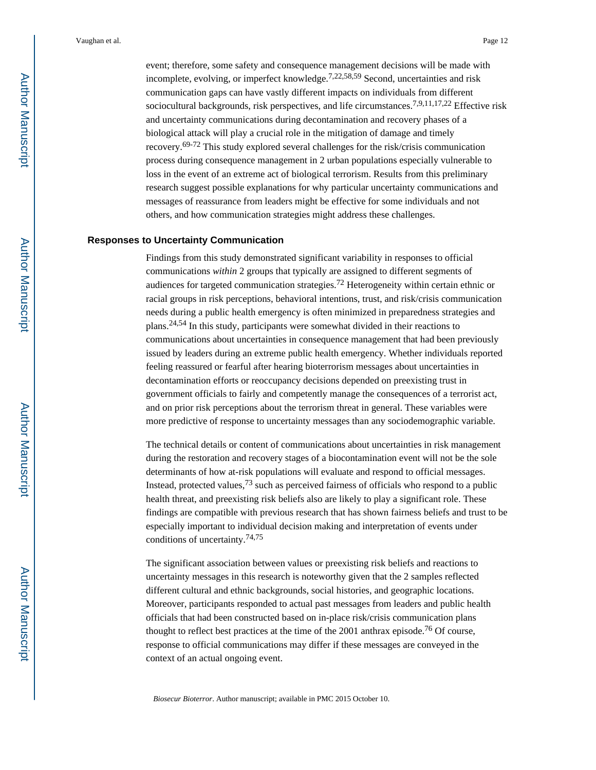event; therefore, some safety and consequence management decisions will be made with incomplete, evolving, or imperfect knowledge.7,22,58,59 Second, uncertainties and risk communication gaps can have vastly different impacts on individuals from different sociocultural backgrounds, risk perspectives, and life circumstances.<sup>7,9,11,17,22</sup> Effective risk and uncertainty communications during decontamination and recovery phases of a biological attack will play a crucial role in the mitigation of damage and timely recovery.69-72 This study explored several challenges for the risk/crisis communication process during consequence management in 2 urban populations especially vulnerable to loss in the event of an extreme act of biological terrorism. Results from this preliminary research suggest possible explanations for why particular uncertainty communications and messages of reassurance from leaders might be effective for some individuals and not others, and how communication strategies might address these challenges.

#### **Responses to Uncertainty Communication**

Findings from this study demonstrated significant variability in responses to official communications *within* 2 groups that typically are assigned to different segments of audiences for targeted communication strategies.72 Heterogeneity within certain ethnic or racial groups in risk perceptions, behavioral intentions, trust, and risk/crisis communication needs during a public health emergency is often minimized in preparedness strategies and plans.24,54 In this study, participants were somewhat divided in their reactions to communications about uncertainties in consequence management that had been previously issued by leaders during an extreme public health emergency. Whether individuals reported feeling reassured or fearful after hearing bioterrorism messages about uncertainties in decontamination efforts or reoccupancy decisions depended on preexisting trust in government officials to fairly and competently manage the consequences of a terrorist act, and on prior risk perceptions about the terrorism threat in general. These variables were more predictive of response to uncertainty messages than any sociodemographic variable.

The technical details or content of communications about uncertainties in risk management during the restoration and recovery stages of a biocontamination event will not be the sole determinants of how at-risk populations will evaluate and respond to official messages. Instead, protected values,  $73$  such as perceived fairness of officials who respond to a public health threat, and preexisting risk beliefs also are likely to play a significant role. These findings are compatible with previous research that has shown fairness beliefs and trust to be especially important to individual decision making and interpretation of events under conditions of uncertainty.74,75

The significant association between values or preexisting risk beliefs and reactions to uncertainty messages in this research is noteworthy given that the 2 samples reflected different cultural and ethnic backgrounds, social histories, and geographic locations. Moreover, participants responded to actual past messages from leaders and public health officials that had been constructed based on in-place risk/crisis communication plans thought to reflect best practices at the time of the 2001 anthrax episode.<sup>76</sup> Of course, response to official communications may differ if these messages are conveyed in the context of an actual ongoing event.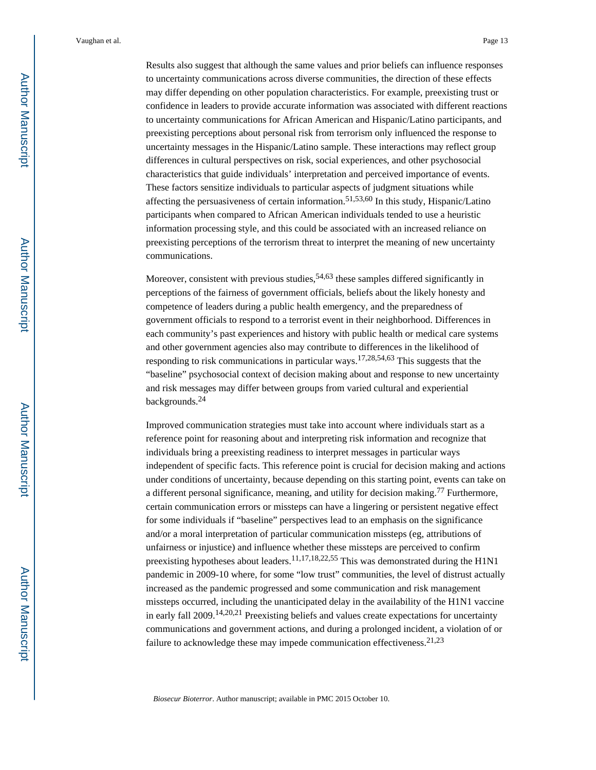Results also suggest that although the same values and prior beliefs can influence responses to uncertainty communications across diverse communities, the direction of these effects may differ depending on other population characteristics. For example, preexisting trust or confidence in leaders to provide accurate information was associated with different reactions to uncertainty communications for African American and Hispanic/Latino participants, and preexisting perceptions about personal risk from terrorism only influenced the response to uncertainty messages in the Hispanic/Latino sample. These interactions may reflect group differences in cultural perspectives on risk, social experiences, and other psychosocial characteristics that guide individuals' interpretation and perceived importance of events. These factors sensitize individuals to particular aspects of judgment situations while affecting the persuasiveness of certain information.<sup>51,53,60</sup> In this study, Hispanic/Latino participants when compared to African American individuals tended to use a heuristic information processing style, and this could be associated with an increased reliance on preexisting perceptions of the terrorism threat to interpret the meaning of new uncertainty communications.

Moreover, consistent with previous studies,  $54,63$  these samples differed significantly in perceptions of the fairness of government officials, beliefs about the likely honesty and competence of leaders during a public health emergency, and the preparedness of government officials to respond to a terrorist event in their neighborhood. Differences in each community's past experiences and history with public health or medical care systems and other government agencies also may contribute to differences in the likelihood of responding to risk communications in particular ways.17,28,54,63 This suggests that the "baseline" psychosocial context of decision making about and response to new uncertainty and risk messages may differ between groups from varied cultural and experiential backgrounds.<sup>24</sup>

Improved communication strategies must take into account where individuals start as a reference point for reasoning about and interpreting risk information and recognize that individuals bring a preexisting readiness to interpret messages in particular ways independent of specific facts. This reference point is crucial for decision making and actions under conditions of uncertainty, because depending on this starting point, events can take on a different personal significance, meaning, and utility for decision making.77 Furthermore, certain communication errors or missteps can have a lingering or persistent negative effect for some individuals if "baseline" perspectives lead to an emphasis on the significance and/or a moral interpretation of particular communication missteps (eg, attributions of unfairness or injustice) and influence whether these missteps are perceived to confirm preexisting hypotheses about leaders.<sup>11,17,18,22,55</sup> This was demonstrated during the H1N1 pandemic in 2009-10 where, for some "low trust" communities, the level of distrust actually increased as the pandemic progressed and some communication and risk management missteps occurred, including the unanticipated delay in the availability of the H1N1 vaccine in early fall  $2009$ .<sup>14,20,21</sup> Preexisting beliefs and values create expectations for uncertainty communications and government actions, and during a prolonged incident, a violation of or failure to acknowledge these may impede communication effectiveness.  $21,23$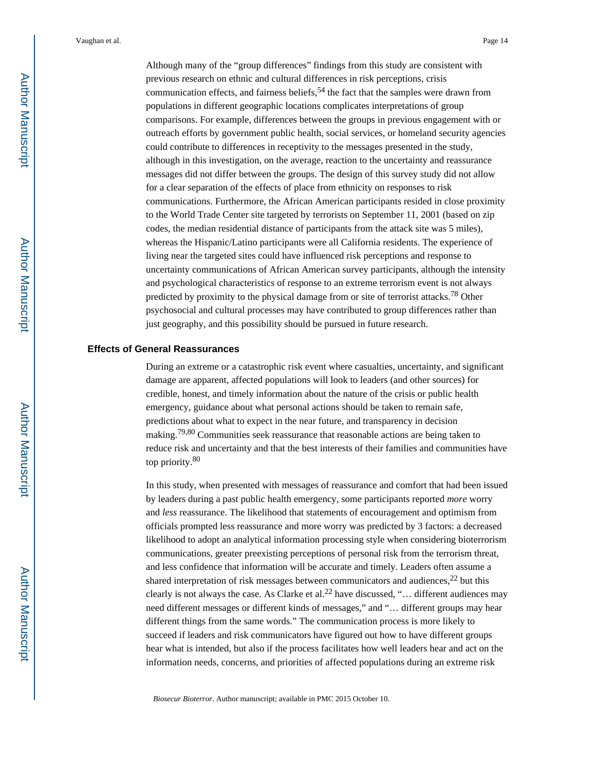Although many of the "group differences" findings from this study are consistent with previous research on ethnic and cultural differences in risk perceptions, crisis communication effects, and fairness beliefs,<sup>54</sup> the fact that the samples were drawn from populations in different geographic locations complicates interpretations of group comparisons. For example, differences between the groups in previous engagement with or outreach efforts by government public health, social services, or homeland security agencies could contribute to differences in receptivity to the messages presented in the study, although in this investigation, on the average, reaction to the uncertainty and reassurance messages did not differ between the groups. The design of this survey study did not allow for a clear separation of the effects of place from ethnicity on responses to risk communications. Furthermore, the African American participants resided in close proximity to the World Trade Center site targeted by terrorists on September 11, 2001 (based on zip codes, the median residential distance of participants from the attack site was 5 miles), whereas the Hispanic/Latino participants were all California residents. The experience of living near the targeted sites could have influenced risk perceptions and response to uncertainty communications of African American survey participants, although the intensity and psychological characteristics of response to an extreme terrorism event is not always predicted by proximity to the physical damage from or site of terrorist attacks.78 Other psychosocial and cultural processes may have contributed to group differences rather than just geography, and this possibility should be pursued in future research.

#### **Effects of General Reassurances**

During an extreme or a catastrophic risk event where casualties, uncertainty, and significant damage are apparent, affected populations will look to leaders (and other sources) for credible, honest, and timely information about the nature of the crisis or public health emergency, guidance about what personal actions should be taken to remain safe, predictions about what to expect in the near future, and transparency in decision making.79,80 Communities seek reassurance that reasonable actions are being taken to reduce risk and uncertainty and that the best interests of their families and communities have top priority.<sup>80</sup>

In this study, when presented with messages of reassurance and comfort that had been issued by leaders during a past public health emergency, some participants reported *more* worry and *less* reassurance. The likelihood that statements of encouragement and optimism from officials prompted less reassurance and more worry was predicted by 3 factors: a decreased likelihood to adopt an analytical information processing style when considering bioterrorism communications, greater preexisting perceptions of personal risk from the terrorism threat, and less confidence that information will be accurate and timely. Leaders often assume a shared interpretation of risk messages between communicators and audiences,  $22$  but this clearly is not always the case. As Clarke et al.<sup>22</sup> have discussed, "... different audiences may need different messages or different kinds of messages," and "… different groups may hear different things from the same words." The communication process is more likely to succeed if leaders and risk communicators have figured out how to have different groups hear what is intended, but also if the process facilitates how well leaders hear and act on the information needs, concerns, and priorities of affected populations during an extreme risk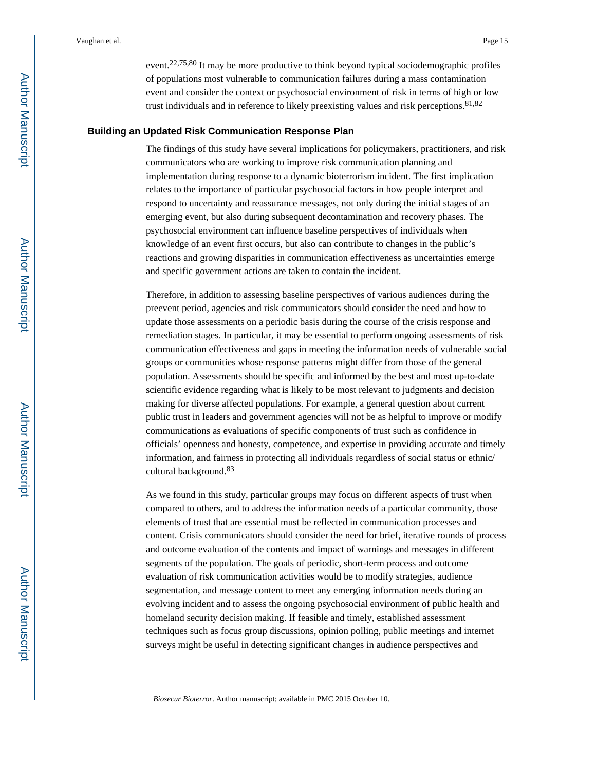event.<sup>22,75,80</sup> It may be more productive to think beyond typical sociodemographic profiles of populations most vulnerable to communication failures during a mass contamination event and consider the context or psychosocial environment of risk in terms of high or low trust individuals and in reference to likely preexisting values and risk perceptions.<sup>81,82</sup>

#### **Building an Updated Risk Communication Response Plan**

The findings of this study have several implications for policymakers, practitioners, and risk communicators who are working to improve risk communication planning and implementation during response to a dynamic bioterrorism incident. The first implication relates to the importance of particular psychosocial factors in how people interpret and respond to uncertainty and reassurance messages, not only during the initial stages of an emerging event, but also during subsequent decontamination and recovery phases. The psychosocial environment can influence baseline perspectives of individuals when knowledge of an event first occurs, but also can contribute to changes in the public's reactions and growing disparities in communication effectiveness as uncertainties emerge and specific government actions are taken to contain the incident.

Therefore, in addition to assessing baseline perspectives of various audiences during the preevent period, agencies and risk communicators should consider the need and how to update those assessments on a periodic basis during the course of the crisis response and remediation stages. In particular, it may be essential to perform ongoing assessments of risk communication effectiveness and gaps in meeting the information needs of vulnerable social groups or communities whose response patterns might differ from those of the general population. Assessments should be specific and informed by the best and most up-to-date scientific evidence regarding what is likely to be most relevant to judgments and decision making for diverse affected populations. For example, a general question about current public trust in leaders and government agencies will not be as helpful to improve or modify communications as evaluations of specific components of trust such as confidence in officials' openness and honesty, competence, and expertise in providing accurate and timely information, and fairness in protecting all individuals regardless of social status or ethnic/ cultural background.<sup>83</sup>

As we found in this study, particular groups may focus on different aspects of trust when compared to others, and to address the information needs of a particular community, those elements of trust that are essential must be reflected in communication processes and content. Crisis communicators should consider the need for brief, iterative rounds of process and outcome evaluation of the contents and impact of warnings and messages in different segments of the population. The goals of periodic, short-term process and outcome evaluation of risk communication activities would be to modify strategies, audience segmentation, and message content to meet any emerging information needs during an evolving incident and to assess the ongoing psychosocial environment of public health and homeland security decision making. If feasible and timely, established assessment techniques such as focus group discussions, opinion polling, public meetings and internet surveys might be useful in detecting significant changes in audience perspectives and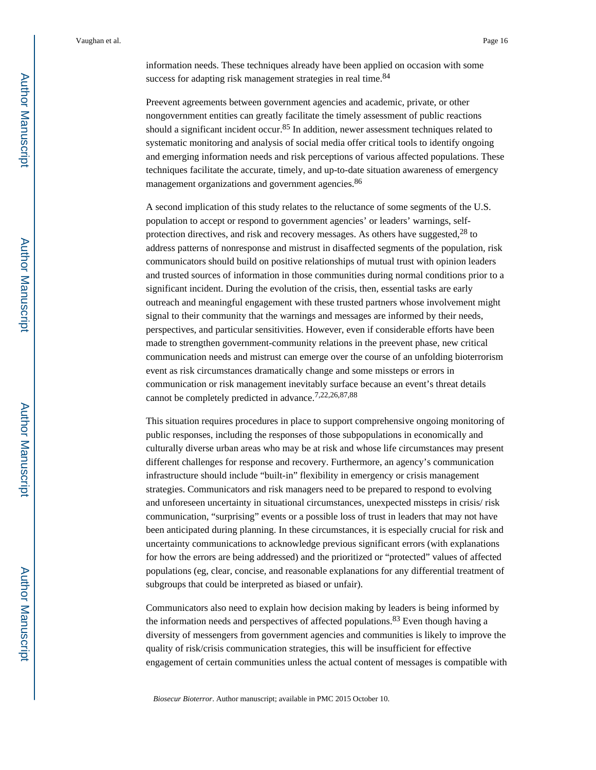information needs. These techniques already have been applied on occasion with some success for adapting risk management strategies in real time.<sup>84</sup>

Preevent agreements between government agencies and academic, private, or other nongovernment entities can greatly facilitate the timely assessment of public reactions should a significant incident occur.<sup>85</sup> In addition, newer assessment techniques related to systematic monitoring and analysis of social media offer critical tools to identify ongoing and emerging information needs and risk perceptions of various affected populations. These techniques facilitate the accurate, timely, and up-to-date situation awareness of emergency management organizations and government agencies.<sup>86</sup>

A second implication of this study relates to the reluctance of some segments of the U.S. population to accept or respond to government agencies' or leaders' warnings, selfprotection directives, and risk and recovery messages. As others have suggested, $^{28}$  to address patterns of nonresponse and mistrust in disaffected segments of the population, risk communicators should build on positive relationships of mutual trust with opinion leaders and trusted sources of information in those communities during normal conditions prior to a significant incident. During the evolution of the crisis, then, essential tasks are early outreach and meaningful engagement with these trusted partners whose involvement might signal to their community that the warnings and messages are informed by their needs, perspectives, and particular sensitivities. However, even if considerable efforts have been made to strengthen government-community relations in the preevent phase, new critical communication needs and mistrust can emerge over the course of an unfolding bioterrorism event as risk circumstances dramatically change and some missteps or errors in communication or risk management inevitably surface because an event's threat details cannot be completely predicted in advance.7,22,26,87,88

This situation requires procedures in place to support comprehensive ongoing monitoring of public responses, including the responses of those subpopulations in economically and culturally diverse urban areas who may be at risk and whose life circumstances may present different challenges for response and recovery. Furthermore, an agency's communication infrastructure should include "built-in" flexibility in emergency or crisis management strategies. Communicators and risk managers need to be prepared to respond to evolving and unforeseen uncertainty in situational circumstances, unexpected missteps in crisis/ risk communication, "surprising" events or a possible loss of trust in leaders that may not have been anticipated during planning. In these circumstances, it is especially crucial for risk and uncertainty communications to acknowledge previous significant errors (with explanations for how the errors are being addressed) and the prioritized or "protected" values of affected populations (eg, clear, concise, and reasonable explanations for any differential treatment of subgroups that could be interpreted as biased or unfair).

Communicators also need to explain how decision making by leaders is being informed by the information needs and perspectives of affected populations.<sup>83</sup> Even though having a diversity of messengers from government agencies and communities is likely to improve the quality of risk/crisis communication strategies, this will be insufficient for effective engagement of certain communities unless the actual content of messages is compatible with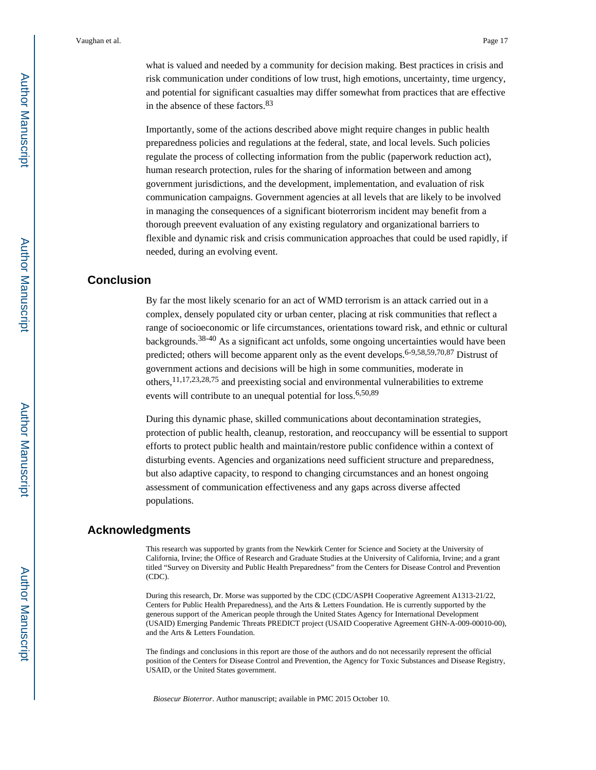what is valued and needed by a community for decision making. Best practices in crisis and risk communication under conditions of low trust, high emotions, uncertainty, time urgency, and potential for significant casualties may differ somewhat from practices that are effective in the absence of these factors.<sup>83</sup>

Importantly, some of the actions described above might require changes in public health preparedness policies and regulations at the federal, state, and local levels. Such policies regulate the process of collecting information from the public (paperwork reduction act), human research protection, rules for the sharing of information between and among government jurisdictions, and the development, implementation, and evaluation of risk communication campaigns. Government agencies at all levels that are likely to be involved in managing the consequences of a significant bioterrorism incident may benefit from a thorough preevent evaluation of any existing regulatory and organizational barriers to flexible and dynamic risk and crisis communication approaches that could be used rapidly, if needed, during an evolving event.

## **Conclusion**

By far the most likely scenario for an act of WMD terrorism is an attack carried out in a complex, densely populated city or urban center, placing at risk communities that reflect a range of socioeconomic or life circumstances, orientations toward risk, and ethnic or cultural backgrounds.38-40 As a significant act unfolds, some ongoing uncertainties would have been predicted; others will become apparent only as the event develops.6-9,58,59,70,87 Distrust of government actions and decisions will be high in some communities, moderate in others,11,17,23,28,75 and preexisting social and environmental vulnerabilities to extreme events will contribute to an unequal potential for loss.<sup>6,50,89</sup>

During this dynamic phase, skilled communications about decontamination strategies, protection of public health, cleanup, restoration, and reoccupancy will be essential to support efforts to protect public health and maintain/restore public confidence within a context of disturbing events. Agencies and organizations need sufficient structure and preparedness, but also adaptive capacity, to respond to changing circumstances and an honest ongoing assessment of communication effectiveness and any gaps across diverse affected populations.

#### **Acknowledgments**

This research was supported by grants from the Newkirk Center for Science and Society at the University of California, Irvine; the Office of Research and Graduate Studies at the University of California, Irvine; and a grant titled "Survey on Diversity and Public Health Preparedness" from the Centers for Disease Control and Prevention (CDC).

During this research, Dr. Morse was supported by the CDC (CDC/ASPH Cooperative Agreement A1313-21/22, Centers for Public Health Preparedness), and the Arts & Letters Foundation. He is currently supported by the generous support of the American people through the United States Agency for International Development (USAID) Emerging Pandemic Threats PREDICT project (USAID Cooperative Agreement GHN-A-009-00010-00), and the Arts & Letters Foundation.

The findings and conclusions in this report are those of the authors and do not necessarily represent the official position of the Centers for Disease Control and Prevention, the Agency for Toxic Substances and Disease Registry, USAID, or the United States government.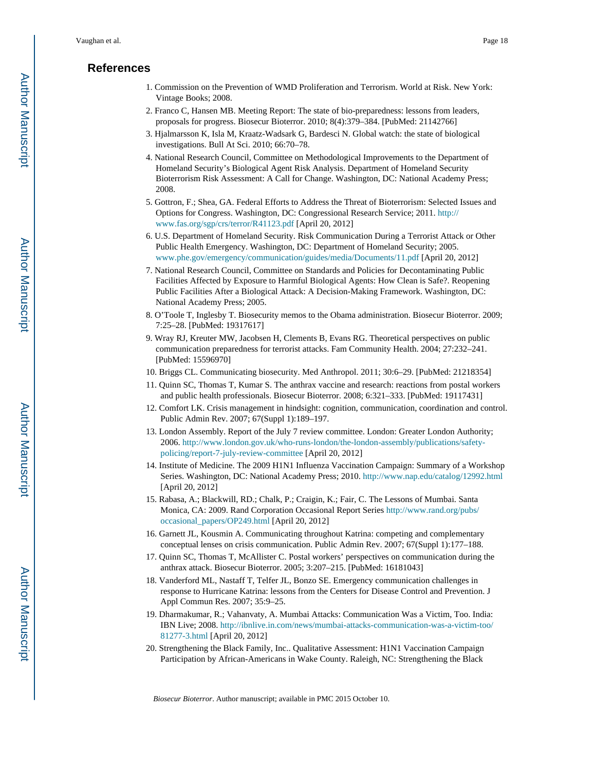## **References**

- 1. Commission on the Prevention of WMD Proliferation and Terrorism. World at Risk. New York: Vintage Books; 2008.
- 2. Franco C, Hansen MB. Meeting Report: The state of bio-preparedness: lessons from leaders, proposals for progress. Biosecur Bioterror. 2010; 8(4):379–384. [PubMed: 21142766]
- 3. Hjalmarsson K, Isla M, Kraatz-Wadsark G, Bardesci N. Global watch: the state of biological investigations. Bull At Sci. 2010; 66:70–78.
- 4. National Research Council, Committee on Methodological Improvements to the Department of Homeland Security's Biological Agent Risk Analysis. Department of Homeland Security Bioterrorism Risk Assessment: A Call for Change. Washington, DC: National Academy Press; 2008.
- 5. Gottron, F.; Shea, GA. Federal Efforts to Address the Threat of Bioterrorism: Selected Issues and Options for Congress. Washington, DC: Congressional Research Service; 2011. [http://](http://www.fas.org/sgp/crs/terror/R41123.pdf) [www.fas.org/sgp/crs/terror/R41123.pdf](http://www.fas.org/sgp/crs/terror/R41123.pdf) [April 20, 2012]
- 6. U.S. Department of Homeland Security. Risk Communication During a Terrorist Attack or Other Public Health Emergency. Washington, DC: Department of Homeland Security; 2005. www.phe.gov/emergency/communication/guides/media/Documents/11.pdf [April 20, 2012]
- 7. National Research Council, Committee on Standards and Policies for Decontaminating Public Facilities Affected by Exposure to Harmful Biological Agents: How Clean is Safe?. Reopening Public Facilities After a Biological Attack: A Decision-Making Framework. Washington, DC: National Academy Press; 2005.
- 8. O'Toole T, Inglesby T. Biosecurity memos to the Obama administration. Biosecur Bioterror. 2009; 7:25–28. [PubMed: 19317617]
- 9. Wray RJ, Kreuter MW, Jacobsen H, Clements B, Evans RG. Theoretical perspectives on public communication preparedness for terrorist attacks. Fam Community Health. 2004; 27:232–241. [PubMed: 15596970]
- 10. Briggs CL. Communicating biosecurity. Med Anthropol. 2011; 30:6–29. [PubMed: 21218354]
- 11. Quinn SC, Thomas T, Kumar S. The anthrax vaccine and research: reactions from postal workers and public health professionals. Biosecur Bioterror. 2008; 6:321–333. [PubMed: 19117431]
- 12. Comfort LK. Crisis management in hindsight: cognition, communication, coordination and control. Public Admin Rev. 2007; 67(Suppl 1):189–197.
- 13. London Assembly. Report of the July 7 review committee. London: Greater London Authority; 2006. [http://www.london.gov.uk/who-runs-london/the-london-assembly/publications/safety](http://www.london.gov.uk/who-runs-london/the-london-assembly/publications/safety-policing/report-7-july-review-committee)[policing/report-7-july-review-committee](http://www.london.gov.uk/who-runs-london/the-london-assembly/publications/safety-policing/report-7-july-review-committee) [April 20, 2012]
- 14. Institute of Medicine. The 2009 H1N1 Influenza Vaccination Campaign: Summary of a Workshop Series. Washington, DC: National Academy Press; 2010. <http://www.nap.edu/catalog/12992.html> [April 20, 2012]
- 15. Rabasa, A.; Blackwill, RD.; Chalk, P.; Craigin, K.; Fair, C. The Lessons of Mumbai. Santa Monica, CA: 2009. Rand Corporation Occasional Report Series [http://www.rand.org/pubs/](http://www.rand.org/pubs/occasional_papers/OP249.html) [occasional\\_papers/OP249.html](http://www.rand.org/pubs/occasional_papers/OP249.html) [April 20, 2012]
- 16. Garnett JL, Kousmin A. Communicating throughout Katrina: competing and complementary conceptual lenses on crisis communication. Public Admin Rev. 2007; 67(Suppl 1):177–188.
- 17. Quinn SC, Thomas T, McAllister C. Postal workers' perspectives on communication during the anthrax attack. Biosecur Bioterror. 2005; 3:207–215. [PubMed: 16181043]
- 18. Vanderford ML, Nastaff T, Telfer JL, Bonzo SE. Emergency communication challenges in response to Hurricane Katrina: lessons from the Centers for Disease Control and Prevention. J Appl Commun Res. 2007; 35:9–25.
- 19. Dharmakumar, R.; Vahanvaty, A. Mumbai Attacks: Communication Was a Victim, Too. India: IBN Live; 2008. [http://ibnlive.in.com/news/mumbai-attacks-communication-was-a-victim-too/](http://ibnlive.in.com/news/mumbai-attacks-communication-was-a-victim-too/81277-3.html) [81277-3.html](http://ibnlive.in.com/news/mumbai-attacks-communication-was-a-victim-too/81277-3.html) [April 20, 2012]
- 20. Strengthening the Black Family, Inc.. Qualitative Assessment: H1N1 Vaccination Campaign Participation by African-Americans in Wake County. Raleigh, NC: Strengthening the Black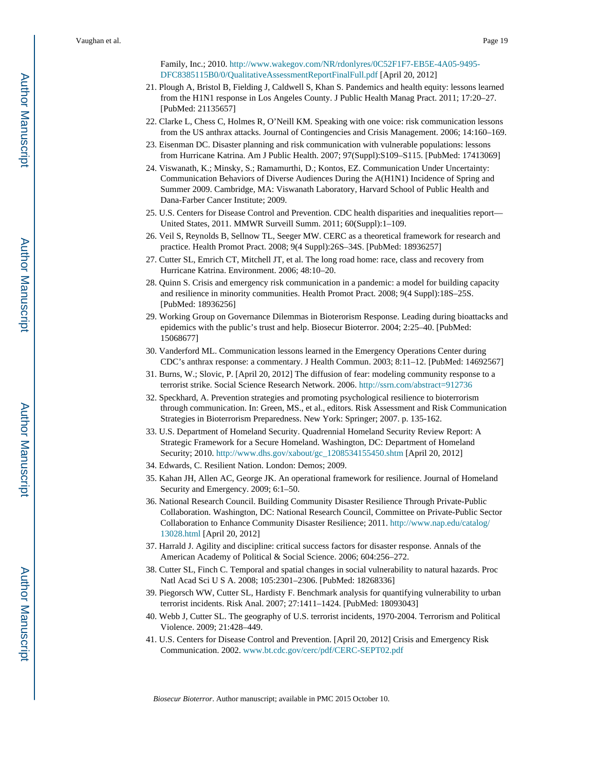Family, Inc.; 2010. [http://www.wakegov.com/NR/rdonlyres/0C52F1F7-EB5E-4A05-9495-](http://www.wakegov.com/NR/rdonlyres/0C52F1F7-EB5E-4A05-9495-DFC8385115B0/0/QualitativeAssessmentReportFinalFull.pdf) [DFC8385115B0/0/QualitativeAssessmentReportFinalFull.pdf](http://www.wakegov.com/NR/rdonlyres/0C52F1F7-EB5E-4A05-9495-DFC8385115B0/0/QualitativeAssessmentReportFinalFull.pdf) [April 20, 2012]

- 21. Plough A, Bristol B, Fielding J, Caldwell S, Khan S. Pandemics and health equity: lessons learned from the H1N1 response in Los Angeles County. J Public Health Manag Pract. 2011; 17:20–27. [PubMed: 21135657]
- 22. Clarke L, Chess C, Holmes R, O'Neill KM. Speaking with one voice: risk communication lessons from the US anthrax attacks. Journal of Contingencies and Crisis Management. 2006; 14:160–169.
- 23. Eisenman DC. Disaster planning and risk communication with vulnerable populations: lessons from Hurricane Katrina. Am J Public Health. 2007; 97(Suppl):S109–S115. [PubMed: 17413069]
- 24. Viswanath, K.; Minsky, S.; Ramamurthi, D.; Kontos, EZ. Communication Under Uncertainty: Communication Behaviors of Diverse Audiences During the A(H1N1) Incidence of Spring and Summer 2009. Cambridge, MA: Viswanath Laboratory, Harvard School of Public Health and Dana-Farber Cancer Institute; 2009.
- 25. U.S. Centers for Disease Control and Prevention. CDC health disparities and inequalities report— United States, 2011. MMWR Surveill Summ. 2011; 60(Suppl):1–109.
- 26. Veil S, Reynolds B, Sellnow TL, Seeger MW. CERC as a theoretical framework for research and practice. Health Promot Pract. 2008; 9(4 Suppl):26S–34S. [PubMed: 18936257]
- 27. Cutter SL, Emrich CT, Mitchell JT, et al. The long road home: race, class and recovery from Hurricane Katrina. Environment. 2006; 48:10–20.
- 28. Quinn S. Crisis and emergency risk communication in a pandemic: a model for building capacity and resilience in minority communities. Health Promot Pract. 2008; 9(4 Suppl):18S–25S. [PubMed: 18936256]
- 29. Working Group on Governance Dilemmas in Bioterorism Response. Leading during bioattacks and epidemics with the public's trust and help. Biosecur Bioterror. 2004; 2:25–40. [PubMed: 15068677]
- 30. Vanderford ML. Communication lessons learned in the Emergency Operations Center during CDC's anthrax response: a commentary. J Health Commun. 2003; 8:11–12. [PubMed: 14692567]
- 31. Burns, W.; Slovic, P. [April 20, 2012] The diffusion of fear: modeling community response to a terrorist strike. Social Science Research Network. 2006. <http://ssrn.com/abstract=912736>
- 32. Speckhard, A. Prevention strategies and promoting psychological resilience to bioterrorism through communication. In: Green, MS., et al., editors. Risk Assessment and Risk Communication Strategies in Bioterrorism Preparedness. New York: Springer; 2007. p. 135-162.
- 33. U.S. Department of Homeland Security. Quadrennial Homeland Security Review Report: A Strategic Framework for a Secure Homeland. Washington, DC: Department of Homeland Security; 2010. [http://www.dhs.gov/xabout/gc\\_1208534155450.shtm](http://www.dhs.gov/xabout/gc_1208534155450.shtm) [April 20, 2012]
- 34. Edwards, C. Resilient Nation. London: Demos; 2009.
- 35. Kahan JH, Allen AC, George JK. An operational framework for resilience. Journal of Homeland Security and Emergency. 2009; 6:1–50.
- 36. National Research Council. Building Community Disaster Resilience Through Private-Public Collaboration. Washington, DC: National Research Council, Committee on Private-Public Sector Collaboration to Enhance Community Disaster Resilience; 2011. [http://www.nap.edu/catalog/](http://www.nap.edu/catalog/13028.html) [13028.html](http://www.nap.edu/catalog/13028.html) [April 20, 2012]
- 37. Harrald J. Agility and discipline: critical success factors for disaster response. Annals of the American Academy of Political & Social Science. 2006; 604:256–272.
- 38. Cutter SL, Finch C. Temporal and spatial changes in social vulnerability to natural hazards. Proc Natl Acad Sci U S A. 2008; 105:2301–2306. [PubMed: 18268336]
- 39. Piegorsch WW, Cutter SL, Hardisty F. Benchmark analysis for quantifying vulnerability to urban terrorist incidents. Risk Anal. 2007; 27:1411–1424. [PubMed: 18093043]
- 40. Webb J, Cutter SL. The geography of U.S. terrorist incidents, 1970-2004. Terrorism and Political Violence. 2009; 21:428–449.
- 41. U.S. Centers for Disease Control and Prevention. [April 20, 2012] Crisis and Emergency Risk Communication. 2002. www.bt.cdc.gov/cerc/pdf/CERC-SEPT02.pdf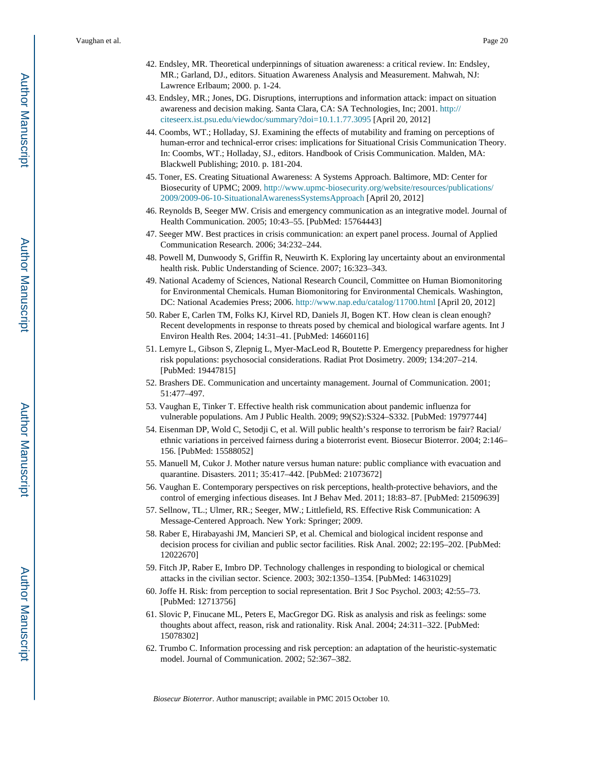- 42. Endsley, MR. Theoretical underpinnings of situation awareness: a critical review. In: Endsley, MR.; Garland, DJ., editors. Situation Awareness Analysis and Measurement. Mahwah, NJ: Lawrence Erlbaum; 2000. p. 1-24.
- 43. Endsley, MR.; Jones, DG. Disruptions, interruptions and information attack: impact on situation awareness and decision making. Santa Clara, CA: SA Technologies, Inc; 2001. [http://](http://citeseerx.ist.psu.edu/viewdoc/summary?doi=10.1.1.77.3095) [citeseerx.ist.psu.edu/viewdoc/summary?doi=10.1.1.77.3095](http://citeseerx.ist.psu.edu/viewdoc/summary?doi=10.1.1.77.3095) [April 20, 2012]
- 44. Coombs, WT.; Holladay, SJ. Examining the effects of mutability and framing on perceptions of human-error and technical-error crises: implications for Situational Crisis Communication Theory. In: Coombs, WT.; Holladay, SJ., editors. Handbook of Crisis Communication. Malden, MA: Blackwell Publishing; 2010. p. 181-204.
- 45. Toner, ES. Creating Situational Awareness: A Systems Approach. Baltimore, MD: Center for Biosecurity of UPMC; 2009. [http://www.upmc-biosecurity.org/website/resources/publications/](http://www.upmc-biosecurity.org/website/resources/publications/2009/2009-06-10-SituationalAwarenessSystemsApproach) [2009/2009-06-10-SituationalAwarenessSystemsApproach](http://www.upmc-biosecurity.org/website/resources/publications/2009/2009-06-10-SituationalAwarenessSystemsApproach) [April 20, 2012]
- 46. Reynolds B, Seeger MW. Crisis and emergency communication as an integrative model. Journal of Health Communication. 2005; 10:43–55. [PubMed: 15764443]
- 47. Seeger MW. Best practices in crisis communication: an expert panel process. Journal of Applied Communication Research. 2006; 34:232–244.
- 48. Powell M, Dunwoody S, Griffin R, Neuwirth K. Exploring lay uncertainty about an environmental health risk. Public Understanding of Science. 2007; 16:323–343.
- 49. National Academy of Sciences, National Research Council, Committee on Human Biomonitoring for Environmental Chemicals. Human Biomonitoring for Environmental Chemicals. Washington, DC: National Academies Press; 2006. <http://www.nap.edu/catalog/11700.html>[April 20, 2012]
- 50. Raber E, Carlen TM, Folks KJ, Kirvel RD, Daniels JI, Bogen KT. How clean is clean enough? Recent developments in response to threats posed by chemical and biological warfare agents. Int J Environ Health Res. 2004; 14:31–41. [PubMed: 14660116]
- 51. Lemyre L, Gibson S, Zlepnig L, Myer-MacLeod R, Boutette P. Emergency preparedness for higher risk populations: psychosocial considerations. Radiat Prot Dosimetry. 2009; 134:207–214. [PubMed: 19447815]
- 52. Brashers DE. Communication and uncertainty management. Journal of Communication. 2001; 51:477–497.
- 53. Vaughan E, Tinker T. Effective health risk communication about pandemic influenza for vulnerable populations. Am J Public Health. 2009; 99(S2):S324–S332. [PubMed: 19797744]
- 54. Eisenman DP, Wold C, Setodji C, et al. Will public health's response to terrorism be fair? Racial/ ethnic variations in perceived fairness during a bioterrorist event. Biosecur Bioterror. 2004; 2:146– 156. [PubMed: 15588052]
- 55. Manuell M, Cukor J. Mother nature versus human nature: public compliance with evacuation and quarantine. Disasters. 2011; 35:417–442. [PubMed: 21073672]
- 56. Vaughan E. Contemporary perspectives on risk perceptions, health-protective behaviors, and the control of emerging infectious diseases. Int J Behav Med. 2011; 18:83–87. [PubMed: 21509639]
- 57. Sellnow, TL.; Ulmer, RR.; Seeger, MW.; Littlefield, RS. Effective Risk Communication: A Message-Centered Approach. New York: Springer; 2009.
- 58. Raber E, Hirabayashi JM, Mancieri SP, et al. Chemical and biological incident response and decision process for civilian and public sector facilities. Risk Anal. 2002; 22:195–202. [PubMed: 12022670]
- 59. Fitch JP, Raber E, Imbro DP. Technology challenges in responding to biological or chemical attacks in the civilian sector. Science. 2003; 302:1350–1354. [PubMed: 14631029]
- 60. Joffe H. Risk: from perception to social representation. Brit J Soc Psychol. 2003; 42:55–73. [PubMed: 12713756]
- 61. Slovic P, Finucane ML, Peters E, MacGregor DG. Risk as analysis and risk as feelings: some thoughts about affect, reason, risk and rationality. Risk Anal. 2004; 24:311–322. [PubMed: 15078302]
- 62. Trumbo C. Information processing and risk perception: an adaptation of the heuristic-systematic model. Journal of Communication. 2002; 52:367–382.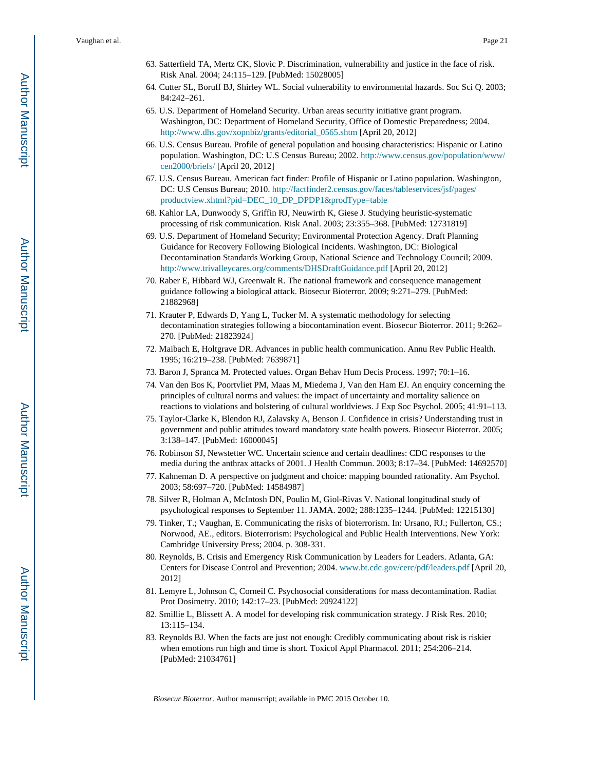- 63. Satterfield TA, Mertz CK, Slovic P. Discrimination, vulnerability and justice in the face of risk. Risk Anal. 2004; 24:115–129. [PubMed: 15028005]
- 64. Cutter SL, Boruff BJ, Shirley WL. Social vulnerability to environmental hazards. Soc Sci Q. 2003; 84:242–261.
- 65. U.S. Department of Homeland Security. Urban areas security initiative grant program. Washington, DC: Department of Homeland Security, Office of Domestic Preparedness; 2004. [http://www.dhs.gov/xopnbiz/grants/editorial\\_0565.shtm](http://www.dhs.gov/xopnbiz/grants/editorial_0565.shtm) [April 20, 2012]
- 66. U.S. Census Bureau. Profile of general population and housing characteristics: Hispanic or Latino population. Washington, DC: U.S Census Bureau; 2002. [http://www.census.gov/population/www/](http://www.census.gov/population/www/cen2000/briefs/) [cen2000/briefs/](http://www.census.gov/population/www/cen2000/briefs/) [April 20, 2012]
- 67. U.S. Census Bureau. American fact finder: Profile of Hispanic or Latino population. Washington, DC: U.S Census Bureau; 2010. [http://factfinder2.census.gov/faces/tableservices/jsf/pages/](http://factfinder2.census.gov/faces/tableservices/jsf/pages/productview.xhtml?pid=DEC_10_DP_DPDP1&prodType=table) [productview.xhtml?pid=DEC\\_10\\_DP\\_DPDP1&prodType=table](http://factfinder2.census.gov/faces/tableservices/jsf/pages/productview.xhtml?pid=DEC_10_DP_DPDP1&prodType=table)
- 68. Kahlor LA, Dunwoody S, Griffin RJ, Neuwirth K, Giese J. Studying heuristic-systematic processing of risk communication. Risk Anal. 2003; 23:355–368. [PubMed: 12731819]
- 69. U.S. Department of Homeland Security; Environmental Protection Agency. Draft Planning Guidance for Recovery Following Biological Incidents. Washington, DC: Biological Decontamination Standards Working Group, National Science and Technology Council; 2009. <http://www.trivalleycares.org/comments/DHSDraftGuidance.pdf>[April 20, 2012]
- 70. Raber E, Hibbard WJ, Greenwalt R. The national framework and consequence management guidance following a biological attack. Biosecur Bioterror. 2009; 9:271–279. [PubMed: 21882968]
- 71. Krauter P, Edwards D, Yang L, Tucker M. A systematic methodology for selecting decontamination strategies following a biocontamination event. Biosecur Bioterror. 2011; 9:262– 270. [PubMed: 21823924]
- 72. Maibach E, Holtgrave DR. Advances in public health communication. Annu Rev Public Health. 1995; 16:219–238. [PubMed: 7639871]
- 73. Baron J, Spranca M. Protected values. Organ Behav Hum Decis Process. 1997; 70:1–16.
- 74. Van den Bos K, Poortvliet PM, Maas M, Miedema J, Van den Ham EJ. An enquiry concerning the principles of cultural norms and values: the impact of uncertainty and mortality salience on reactions to violations and bolstering of cultural worldviews. J Exp Soc Psychol. 2005; 41:91–113.
- 75. Taylor-Clarke K, Blendon RJ, Zalavsky A, Benson J. Confidence in crisis? Understanding trust in government and public attitudes toward mandatory state health powers. Biosecur Bioterror. 2005; 3:138–147. [PubMed: 16000045]
- 76. Robinson SJ, Newstetter WC. Uncertain science and certain deadlines: CDC responses to the media during the anthrax attacks of 2001. J Health Commun. 2003; 8:17–34. [PubMed: 14692570]
- 77. Kahneman D. A perspective on judgment and choice: mapping bounded rationality. Am Psychol. 2003; 58:697–720. [PubMed: 14584987]
- 78. Silver R, Holman A, McIntosh DN, Poulin M, Giol-Rivas V. National longitudinal study of psychological responses to September 11. JAMA. 2002; 288:1235–1244. [PubMed: 12215130]
- 79. Tinker, T.; Vaughan, E. Communicating the risks of bioterrorism. In: Ursano, RJ.; Fullerton, CS.; Norwood, AE., editors. Bioterrorism: Psychological and Public Health Interventions. New York: Cambridge University Press; 2004. p. 308-331.
- 80. Reynolds, B. Crisis and Emergency Risk Communication by Leaders for Leaders. Atlanta, GA: Centers for Disease Control and Prevention; 2004. www.bt.cdc.gov/cerc/pdf/leaders.pdf [April 20, 2012]
- 81. Lemyre L, Johnson C, Corneil C. Psychosocial considerations for mass decontamination. Radiat Prot Dosimetry. 2010; 142:17–23. [PubMed: 20924122]
- 82. Smillie L, Blissett A. A model for developing risk communication strategy. J Risk Res. 2010; 13:115–134.
- 83. Reynolds BJ. When the facts are just not enough: Credibly communicating about risk is riskier when emotions run high and time is short. Toxicol Appl Pharmacol. 2011; 254:206–214. [PubMed: 21034761]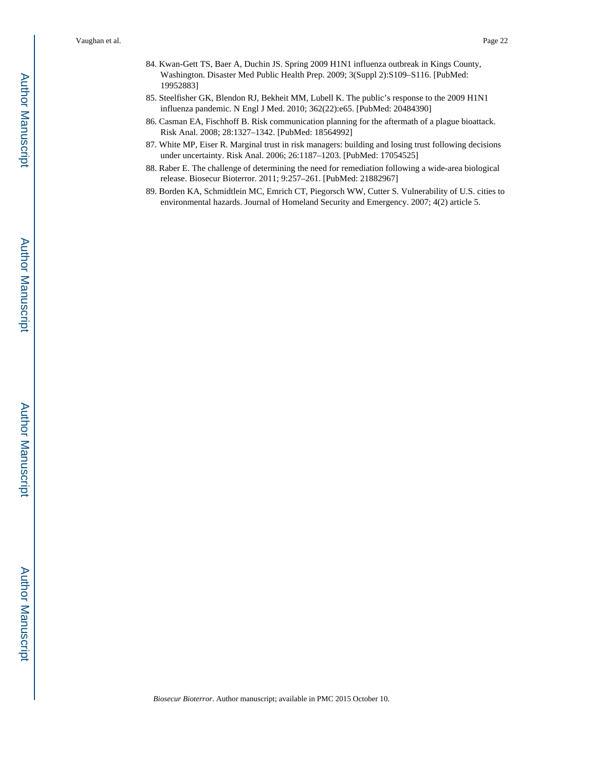- 84. Kwan-Gett TS, Baer A, Duchin JS. Spring 2009 H1N1 influenza outbreak in Kings County, Washington. Disaster Med Public Health Prep. 2009; 3(Suppl 2):S109–S116. [PubMed: 19952883]
- 85. Steelfisher GK, Blendon RJ, Bekheit MM, Lubell K. The public's response to the 2009 H1N1 influenza pandemic. N Engl J Med. 2010; 362(22):e65. [PubMed: 20484390]
- 86. Casman EA, Fischhoff B. Risk communication planning for the aftermath of a plague bioattack. Risk Anal. 2008; 28:1327–1342. [PubMed: 18564992]
- 87. White MP, Eiser R. Marginal trust in risk managers: building and losing trust following decisions under uncertainty. Risk Anal. 2006; 26:1187–1203. [PubMed: 17054525]
- 88. Raber E. The challenge of determining the need for remediation following a wide-area biological release. Biosecur Bioterror. 2011; 9:257–261. [PubMed: 21882967]
- 89. Borden KA, Schmidtlein MC, Emrich CT, Piegorsch WW, Cutter S. Vulnerability of U.S. cities to environmental hazards. Journal of Homeland Security and Emergency. 2007; 4(2) article 5.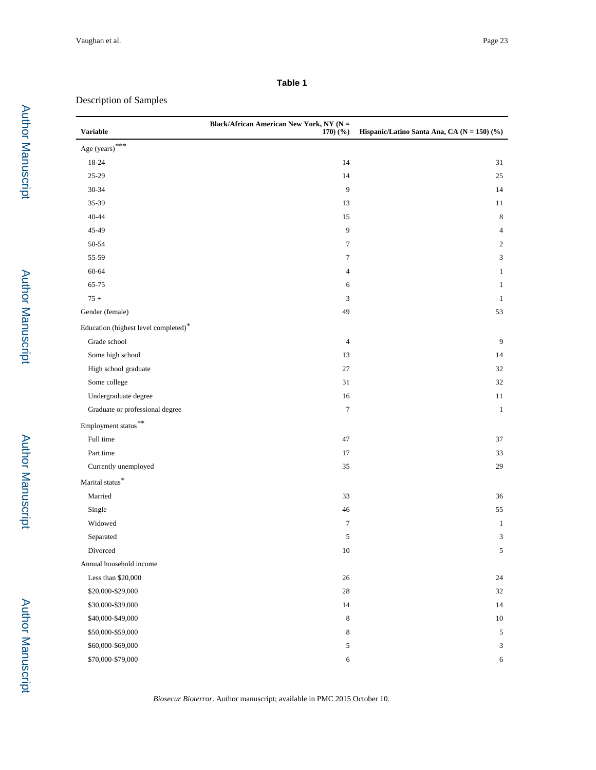#### **Table 1**

## Description of Samples

| <b>Variable</b>                                  | Black/African American New York, NY (N =<br>$170)$ (%) | Hispanic/Latino Santa Ana, CA (N = 150) (%) |
|--------------------------------------------------|--------------------------------------------------------|---------------------------------------------|
| Age $\mbox{(years)}^{***}$                       |                                                        |                                             |
| 18-24                                            | 14                                                     | 31                                          |
| 25-29                                            | 14                                                     | 25                                          |
| $30 - 34$                                        | 9                                                      | 14                                          |
| 35-39                                            | 13                                                     | 11                                          |
| $40 - 44$                                        | 15                                                     | $\,8\,$                                     |
| 45-49                                            | 9                                                      | $\overline{4}$                              |
| 50-54                                            | $\boldsymbol{7}$                                       | $\overline{c}$                              |
| 55-59                                            | $\tau$                                                 | 3                                           |
| $60 - 64$                                        | $\overline{4}$                                         | $\mathbf{1}$                                |
| 65-75                                            | 6                                                      | $\mathbf{1}$                                |
| $75 +$                                           | $\mathfrak{Z}$                                         | $\mathbf{1}$                                |
| Gender (female)                                  | 49                                                     | 53                                          |
| Education (highest level completed) <sup>*</sup> |                                                        |                                             |
| Grade school                                     | $\overline{4}$                                         | 9                                           |
| Some high school                                 | 13                                                     | 14                                          |
| High school graduate                             | $27\,$                                                 | 32                                          |
| Some college                                     | 31                                                     | 32                                          |
| Undergraduate degree                             | 16                                                     | 11                                          |
| Graduate or professional degree                  | $\boldsymbol{7}$                                       | $\mathbf{1}$                                |
| Employment status**                              |                                                        |                                             |
| Full time                                        | 47                                                     | $37\,$                                      |
| Part time                                        | 17                                                     | 33                                          |
| Currently unemployed                             | 35                                                     | 29                                          |
| Marital status*                                  |                                                        |                                             |
| Married                                          | 33                                                     | 36                                          |
| Single                                           | 46                                                     | 55                                          |
| Widowed                                          | 7                                                      | $\mathbf{1}$                                |
| Separated                                        | $\mathfrak s$                                          | 3                                           |
| Divorced                                         | 10                                                     | 5                                           |
| Annual household income                          |                                                        |                                             |
| Less than $$20,000$                              | 26                                                     | 24                                          |
| \$20,000-\$29,000                                | 28                                                     | 32                                          |
| \$30,000-\$39,000                                | 14                                                     | 14                                          |
| \$40,000-\$49,000                                | 8                                                      | 10                                          |
| \$50,000-\$59,000                                | 8                                                      | 5                                           |
| \$60,000-\$69,000                                | 5                                                      | 3                                           |
| \$70,000-\$79,000                                | 6                                                      | 6                                           |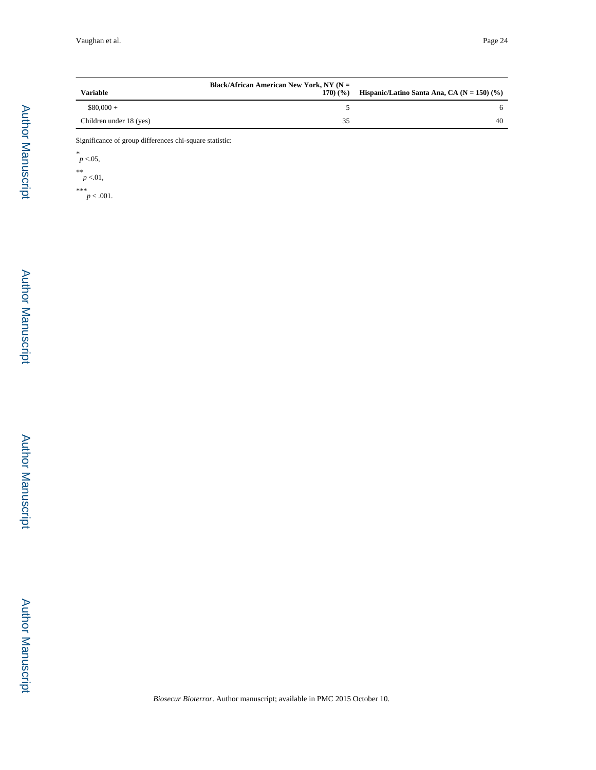| Variable                | Black/African American New York, NY ( $N =$<br>$(9)$ $(9)$ | Hispanic/Latino Santa Ana, CA $(N = 150)$ $(\%)$ |
|-------------------------|------------------------------------------------------------|--------------------------------------------------|
| $$80,000+$              |                                                            | 6                                                |
| Children under 18 (yes) | 35                                                         | 40                                               |

Significance of group differences chi-square statistic:

*\* p* <.05,

*\*\**  $p < 01$ ,

*\*\*\* p* < .001.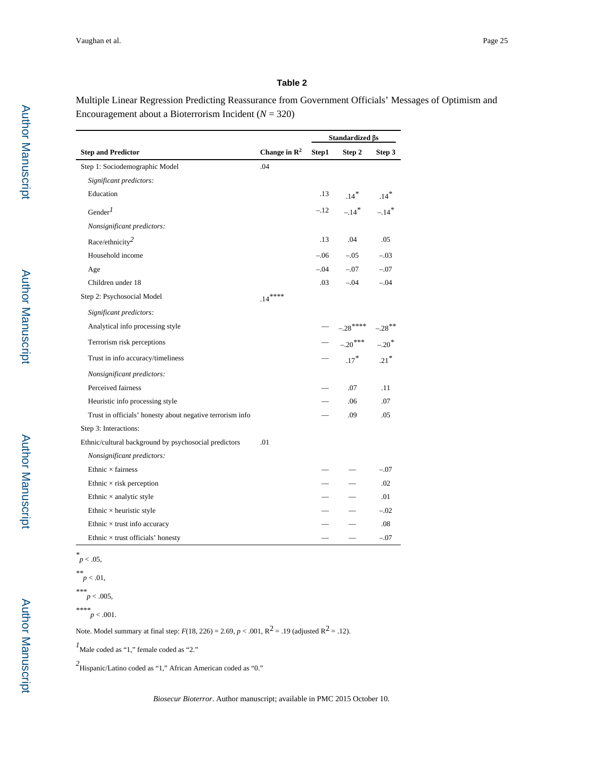#### **Table 2**

Multiple Linear Regression Predicting Reassurance from Government Officials' Messages of Optimism and Encouragement about a Bioterrorism Incident (*N* = 320)

|                                                           |                          | Standardized βs |                     |                      |
|-----------------------------------------------------------|--------------------------|-----------------|---------------------|----------------------|
| <b>Step and Predictor</b>                                 | Change in $\mathbb{R}^2$ | Step1           | Step 2              | Step 3               |
| Step 1: Sociodemographic Model                            | .04                      |                 |                     |                      |
| Significant predictors:                                   |                          |                 |                     |                      |
| Education                                                 |                          | .13             | $.14*$              | $.14*$               |
| Gender $I$                                                |                          | $-.12$          | $-.14$ <sup>*</sup> | $-.14*$              |
| Nonsignificant predictors:                                |                          |                 |                     |                      |
| Race/ethnicity <sup>2</sup>                               |                          | .13             | .04                 | .05                  |
| Household income                                          |                          | $-.06$          | $-.05$              | $-.03$               |
| Age                                                       |                          | $-.04$          | $-.07$              | $-.07$               |
| Children under 18                                         |                          | .03             | $-.04$              | $-.04$               |
| Step 2: Psychosocial Model                                | $.14***$                 |                 |                     |                      |
| Significant predictors:                                   |                          |                 |                     |                      |
| Analytical info processing style                          |                          |                 | $-.28$ ****         | $-.28$ <sup>**</sup> |
| Terrorism risk perceptions                                |                          |                 | $-.20***$           | $-.20*$              |
| Trust in info accuracy/timeliness                         |                          |                 | $.17*$              | $.21*$               |
| Nonsignificant predictors:                                |                          |                 |                     |                      |
| Perceived fairness                                        |                          |                 | .07                 | .11                  |
| Heuristic info processing style                           |                          |                 | .06                 | .07                  |
| Trust in officials' honesty about negative terrorism info |                          |                 | .09                 | .05                  |
| Step 3: Interactions:                                     |                          |                 |                     |                      |
| Ethnic/cultural background by psychosocial predictors     | .01                      |                 |                     |                      |
| Nonsignificant predictors:                                |                          |                 |                     |                      |
| Ethnic $\times$ fairness                                  |                          |                 |                     | $-.07$               |
| Ethnic $\times$ risk perception                           |                          |                 |                     | .02                  |
| Ethnic $\times$ analytic style                            |                          |                 |                     | .01                  |
| Ethnic $\times$ heuristic style                           |                          |                 |                     | $-.02$               |
| Ethnic $\times$ trust info accuracy                       |                          |                 |                     | .08                  |
| Ethnic $\times$ trust officials' honesty                  |                          |                 |                     | $-.07$               |

*<sup>\*</sup> p* < .05,

*\*\* p* < .01,

*\*\*\**

 $p < .005$ ,

*\*\*\*\**  $\int_{0}^{\infty} p < .001.$ 

Note. Model summary at final step:  $F(18, 226) = 2.69$ ,  $p < .001$ ,  $R^2 = .19$  (adjusted  $R^2 = .12$ ).

 $^{\mathit{1}}$  Male coded as "1," female coded as "2."

*2* Hispanic/Latino coded as "1," African American coded as "0."